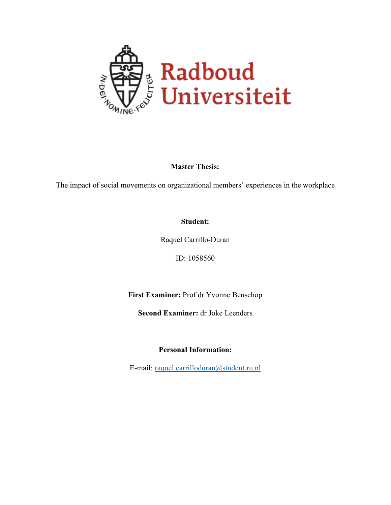

**Master Thesis:**

The impact of social movements on organizational members' experiences in the workplace

### **Student:**

Raquel Carrillo-Duran

ID: 1058560

**First Examiner:** Prof dr Yvonne Benschop

**Second Examiner:** dr Joke Leenders

**Personal Information:**

E-mail: [raquel.carrilloduran@student.ru.nl](mailto:raquel.carrilloduran@student.ru.nl)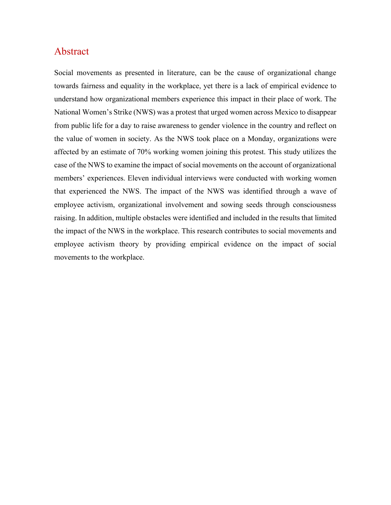## Abstract

Social movements as presented in literature, can be the cause of organizational change towards fairness and equality in the workplace, yet there is a lack of empirical evidence to understand how organizational members experience this impact in their place of work. The National Women's Strike (NWS) was a protest that urged women across Mexico to disappear from public life for a day to raise awareness to gender violence in the country and reflect on the value of women in society. As the NWS took place on a Monday, organizations were affected by an estimate of 70% working women joining this protest. This study utilizes the case of the NWS to examine the impact of social movements on the account of organizational members' experiences. Eleven individual interviews were conducted with working women that experienced the NWS. The impact of the NWS was identified through a wave of employee activism, organizational involvement and sowing seeds through consciousness raising. In addition, multiple obstacles were identified and included in the results that limited the impact of the NWS in the workplace. This research contributes to social movements and employee activism theory by providing empirical evidence on the impact of social movements to the workplace.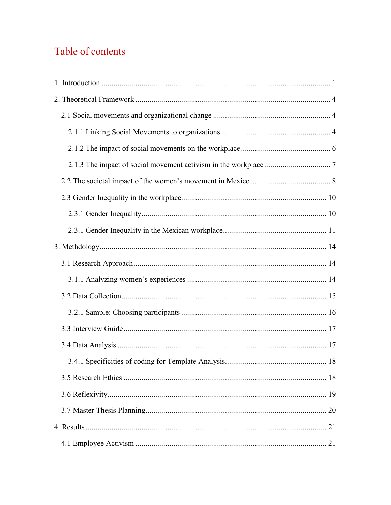# Table of contents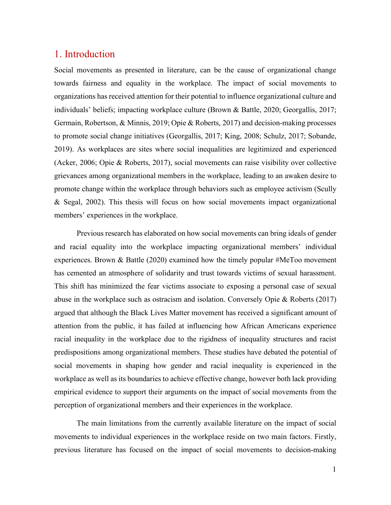## <span id="page-4-0"></span>1. Introduction

Social movements as presented in literature, can be the cause of organizational change towards fairness and equality in the workplace. The impact of social movements to organizations has received attention for their potential to influence organizational culture and individuals' beliefs; impacting workplace culture (Brown & Battle, 2020; Georgallis, 2017; Germain, Robertson, & Minnis, 2019; Opie & Roberts, 2017) and decision-making processes to promote social change initiatives (Georgallis, 2017; King, 2008; Schulz, 2017; Sobande, 2019). As workplaces are sites where social inequalities are legitimized and experienced (Acker, 2006; Opie & Roberts, 2017), social movements can raise visibility over collective grievances among organizational members in the workplace, leading to an awaken desire to promote change within the workplace through behaviors such as employee activism (Scully & Segal, 2002). This thesis will focus on how social movements impact organizational members' experiences in the workplace.

Previous research has elaborated on how social movements can bring ideals of gender and racial equality into the workplace impacting organizational members' individual experiences. Brown & Battle (2020) examined how the timely popular #MeToo movement has cemented an atmosphere of solidarity and trust towards victims of sexual harassment. This shift has minimized the fear victims associate to exposing a personal case of sexual abuse in the workplace such as ostracism and isolation. Conversely Opie & Roberts (2017) argued that although the Black Lives Matter movement has received a significant amount of attention from the public, it has failed at influencing how African Americans experience racial inequality in the workplace due to the rigidness of inequality structures and racist predispositions among organizational members. These studies have debated the potential of social movements in shaping how gender and racial inequality is experienced in the workplace as well as its boundaries to achieve effective change, however both lack providing empirical evidence to support their arguments on the impact of social movements from the perception of organizational members and their experiences in the workplace.

The main limitations from the currently available literature on the impact of social movements to individual experiences in the workplace reside on two main factors. Firstly, previous literature has focused on the impact of social movements to decision-making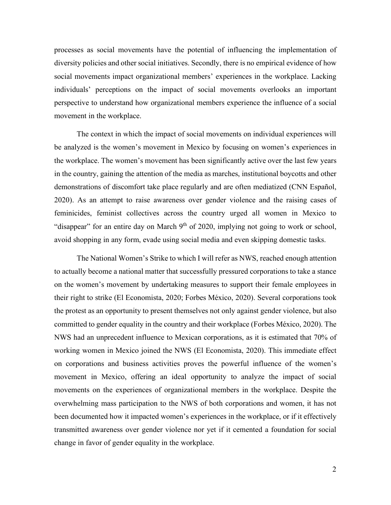processes as social movements have the potential of influencing the implementation of diversity policies and other social initiatives. Secondly, there is no empirical evidence of how social movements impact organizational members' experiences in the workplace. Lacking individuals' perceptions on the impact of social movements overlooks an important perspective to understand how organizational members experience the influence of a social movement in the workplace.

The context in which the impact of social movements on individual experiences will be analyzed is the women's movement in Mexico by focusing on women's experiences in the workplace. The women's movement has been significantly active over the last few years in the country, gaining the attention of the media as marches, institutional boycotts and other demonstrations of discomfort take place regularly and are often mediatized (CNN Español, 2020). As an attempt to raise awareness over gender violence and the raising cases of feminicides, feminist collectives across the country urged all women in Mexico to "disappear" for an entire day on March  $9<sup>th</sup>$  of 2020, implying not going to work or school, avoid shopping in any form, evade using social media and even skipping domestic tasks.

The National Women's Strike to which I will refer as NWS, reached enough attention to actually become a national matter that successfully pressured corporations to take a stance on the women's movement by undertaking measures to support their female employees in their right to strike (El Economista, 2020; Forbes México, 2020). Several corporations took the protest as an opportunity to present themselves not only against gender violence, but also committed to gender equality in the country and their workplace (Forbes México, 2020). The NWS had an unprecedent influence to Mexican corporations, as it is estimated that 70% of working women in Mexico joined the NWS (El Economista, 2020). This immediate effect on corporations and business activities proves the powerful influence of the women's movement in Mexico, offering an ideal opportunity to analyze the impact of social movements on the experiences of organizational members in the workplace. Despite the overwhelming mass participation to the NWS of both corporations and women, it has not been documented how it impacted women's experiences in the workplace, or if it effectively transmitted awareness over gender violence nor yet if it cemented a foundation for social change in favor of gender equality in the workplace.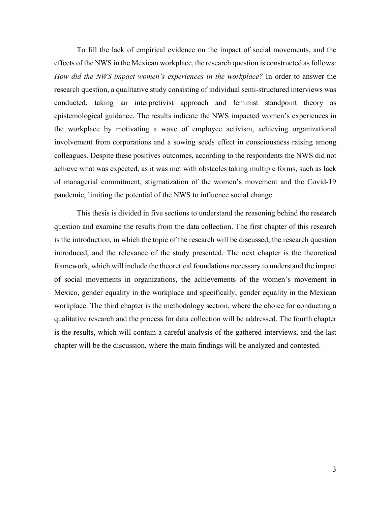To fill the lack of empirical evidence on the impact of social movements, and the effects of the NWS in the Mexican workplace, the research question is constructed as follows: *How did the NWS impact women's experiences in the workplace?* In order to answer the research question, a qualitative study consisting of individual semi-structured interviews was conducted, taking an interpretivist approach and feminist standpoint theory as epistemological guidance. The results indicate the NWS impacted women's experiences in the workplace by motivating a wave of employee activism, achieving organizational involvement from corporations and a sowing seeds effect in consciousness raising among colleagues. Despite these positives outcomes, according to the respondents the NWS did not achieve what was expected, as it was met with obstacles taking multiple forms, such as lack of managerial commitment, stigmatization of the women's movement and the Covid-19 pandemic, limiting the potential of the NWS to influence social change.

This thesis is divided in five sections to understand the reasoning behind the research question and examine the results from the data collection. The first chapter of this research is the introduction, in which the topic of the research will be discussed, the research question introduced, and the relevance of the study presented. The next chapter is the theoretical framework, which will include the theoretical foundations necessary to understand the impact of social movements in organizations, the achievements of the women's movement in Mexico, gender equality in the workplace and specifically, gender equality in the Mexican workplace. The third chapter is the methodology section, where the choice for conducting a qualitative research and the process for data collection will be addressed. The fourth chapter is the results, which will contain a careful analysis of the gathered interviews, and the last chapter will be the discussion, where the main findings will be analyzed and contested.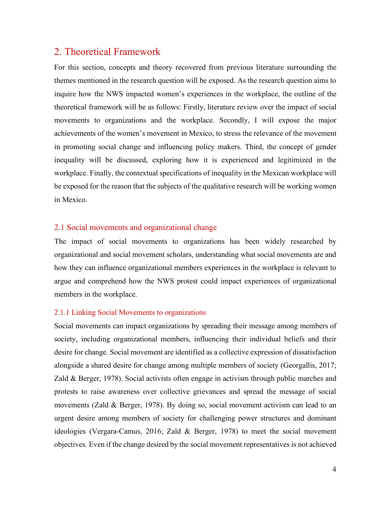## <span id="page-7-0"></span>2. Theoretical Framework

For this section, concepts and theory recovered from previous literature surrounding the themes mentioned in the research question will be exposed. As the research question aims to inquire how the NWS impacted women's experiences in the workplace, the outline of the theoretical framework will be as follows: Firstly, literature review over the impact of social movements to organizations and the workplace. Secondly, I will expose the major achievements of the women's movement in Mexico, to stress the relevance of the movement in promoting social change and influencing policy makers. Third, the concept of gender inequality will be discussed, exploring how it is experienced and legitimized in the workplace. Finally, the contextual specifications of inequality in the Mexican workplace will be exposed for the reason that the subjects of the qualitative research will be working women in Mexico.

#### <span id="page-7-1"></span>2.1 Social movements and organizational change

The impact of social movements to organizations has been widely researched by organizational and social movement scholars, understanding what social movements are and how they can influence organizational members experiences in the workplace is relevant to argue and comprehend how the NWS protest could impact experiences of organizational members in the workplace.

#### <span id="page-7-2"></span>2.1.1 Linking Social Movements to organizations

Social movements can impact organizations by spreading their message among members of society, including organizational members, influencing their individual beliefs and their desire for change. Social movement are identified as a collective expression of dissatisfaction alongside a shared desire for change among multiple members of society (Georgallis, 2017; Zald & Berger, 1978). Social activists often engage in activism through public marches and protests to raise awareness over collective grievances and spread the message of social movements (Zald & Berger, 1978). By doing so, social movement activism can lead to an urgent desire among members of society for challenging power structures and dominant ideologies (Vergara-Camus, 2016; Zald & Berger, 1978) to meet the social movement objectives. Even if the change desired by the social movement representatives is not achieved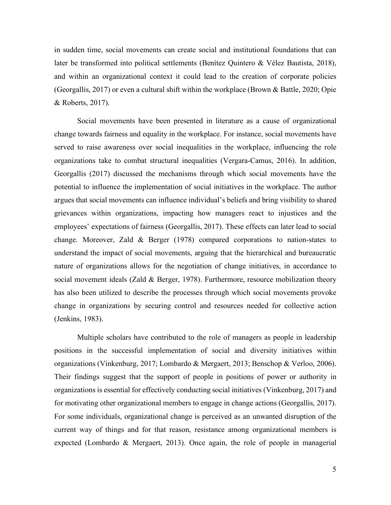in sudden time, social movements can create social and institutional foundations that can later be transformed into political settlements (Benítez Quintero & Vélez Bautista, 2018), and within an organizational context it could lead to the creation of corporate policies (Georgallis, 2017) or even a cultural shift within the workplace (Brown & Battle, 2020; Opie & Roberts, 2017).

Social movements have been presented in literature as a cause of organizational change towards fairness and equality in the workplace. For instance, social movements have served to raise awareness over social inequalities in the workplace, influencing the role organizations take to combat structural inequalities (Vergara-Camus, 2016). In addition, Georgallis (2017) discussed the mechanisms through which social movements have the potential to influence the implementation of social initiatives in the workplace. The author argues that social movements can influence individual's beliefs and bring visibility to shared grievances within organizations, impacting how managers react to injustices and the employees' expectations of fairness (Georgallis, 2017). These effects can later lead to social change. Moreover, Zald & Berger (1978) compared corporations to nation-states to understand the impact of social movements, arguing that the hierarchical and bureaucratic nature of organizations allows for the negotiation of change initiatives, in accordance to social movement ideals (Zald & Berger, 1978). Furthermore, resource mobilization theory has also been utilized to describe the processes through which social movements provoke change in organizations by securing control and resources needed for collective action (Jenkins, 1983).

Multiple scholars have contributed to the role of managers as people in leadership positions in the successful implementation of social and diversity initiatives within organizations (Vinkenburg, 2017; Lombardo & Mergaert, 2013; Benschop & Verloo, 2006). Their findings suggest that the support of people in positions of power or authority in organizations is essential for effectively conducting social initiatives (Vinkenburg, 2017) and for motivating other organizational members to engage in change actions (Georgallis, 2017). For some individuals, organizational change is perceived as an unwanted disruption of the current way of things and for that reason, resistance among organizational members is expected (Lombardo & Mergaert, 2013). Once again, the role of people in managerial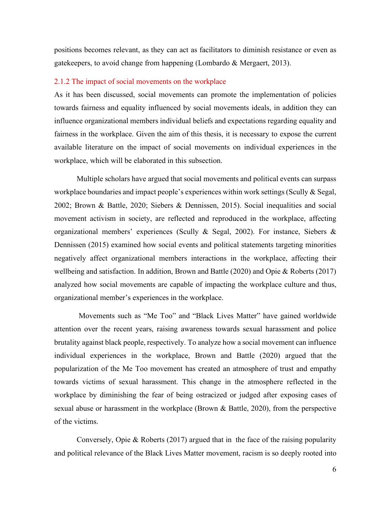positions becomes relevant, as they can act as facilitators to diminish resistance or even as gatekeepers, to avoid change from happening (Lombardo & Mergaert, 2013).

#### <span id="page-9-0"></span>2.1.2 The impact of social movements on the workplace

As it has been discussed, social movements can promote the implementation of policies towards fairness and equality influenced by social movements ideals, in addition they can influence organizational members individual beliefs and expectations regarding equality and fairness in the workplace. Given the aim of this thesis, it is necessary to expose the current available literature on the impact of social movements on individual experiences in the workplace, which will be elaborated in this subsection.

Multiple scholars have argued that social movements and political events can surpass workplace boundaries and impact people's experiences within work settings (Scully & Segal, 2002; Brown & Battle, 2020; Siebers & Dennissen, 2015). Social inequalities and social movement activism in society, are reflected and reproduced in the workplace, affecting organizational members' experiences (Scully & Segal, 2002). For instance, Siebers & Dennissen (2015) examined how social events and political statements targeting minorities negatively affect organizational members interactions in the workplace, affecting their wellbeing and satisfaction. In addition, Brown and Battle (2020) and Opie & Roberts (2017) analyzed how social movements are capable of impacting the workplace culture and thus, organizational member's experiences in the workplace.

Movements such as "Me Too" and "Black Lives Matter" have gained worldwide attention over the recent years, raising awareness towards sexual harassment and police brutality against black people, respectively. To analyze how a social movement can influence individual experiences in the workplace, Brown and Battle (2020) argued that the popularization of the Me Too movement has created an atmosphere of trust and empathy towards victims of sexual harassment. This change in the atmosphere reflected in the workplace by diminishing the fear of being ostracized or judged after exposing cases of sexual abuse or harassment in the workplace (Brown & Battle, 2020), from the perspective of the victims.

Conversely, Opie & Roberts (2017) argued that in the face of the raising popularity and political relevance of the Black Lives Matter movement, racism is so deeply rooted into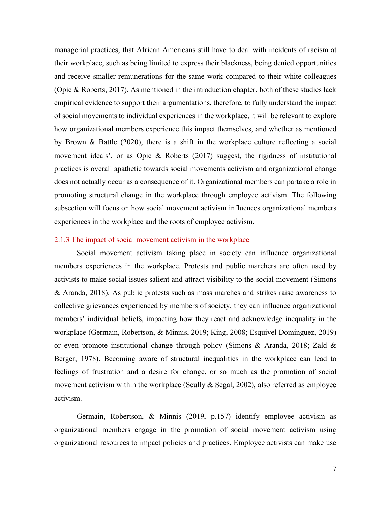managerial practices, that African Americans still have to deal with incidents of racism at their workplace, such as being limited to express their blackness, being denied opportunities and receive smaller remunerations for the same work compared to their white colleagues (Opie & Roberts, 2017). As mentioned in the introduction chapter, both of these studies lack empirical evidence to support their argumentations, therefore, to fully understand the impact of social movements to individual experiences in the workplace, it will be relevant to explore how organizational members experience this impact themselves, and whether as mentioned by Brown & Battle (2020), there is a shift in the workplace culture reflecting a social movement ideals', or as Opie & Roberts (2017) suggest, the rigidness of institutional practices is overall apathetic towards social movements activism and organizational change does not actually occur as a consequence of it. Organizational members can partake a role in promoting structural change in the workplace through employee activism. The following subsection will focus on how social movement activism influences organizational members experiences in the workplace and the roots of employee activism.

#### <span id="page-10-0"></span>2.1.3 The impact of social movement activism in the workplace

Social movement activism taking place in society can influence organizational members experiences in the workplace. Protests and public marchers are often used by activists to make social issues salient and attract visibility to the social movement (Simons & Aranda, 2018). As public protests such as mass marches and strikes raise awareness to collective grievances experienced by members of society, they can influence organizational members' individual beliefs, impacting how they react and acknowledge inequality in the workplace (Germain, Robertson, & Minnis, 2019; King, 2008; Esquivel Domínguez, 2019) or even promote institutional change through policy (Simons & Aranda, 2018; Zald & Berger, 1978). Becoming aware of structural inequalities in the workplace can lead to feelings of frustration and a desire for change, or so much as the promotion of social movement activism within the workplace (Scully & Segal, 2002), also referred as employee activism.

Germain, Robertson, & Minnis (2019, p.157) identify employee activism as organizational members engage in the promotion of social movement activism using organizational resources to impact policies and practices. Employee activists can make use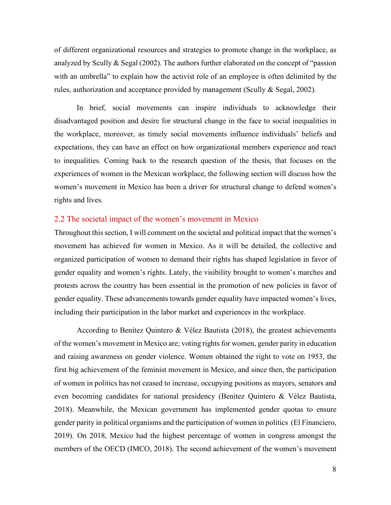of different organizational resources and strategies to promote change in the workplace, as analyzed by Scully & Segal (2002). The authors further elaborated on the concept of "passion with an umbrella" to explain how the activist role of an employee is often delimited by the rules, authorization and acceptance provided by management (Scully & Segal, 2002).

In brief, social movements can inspire individuals to acknowledge their disadvantaged position and desire for structural change in the face to social inequalities in the workplace, moreover, as timely social movements influence individuals' beliefs and expectations, they can have an effect on how organizational members experience and react to inequalities. Coming back to the research question of the thesis, that focuses on the experiences of women in the Mexican workplace, the following section will discuss how the women's movement in Mexico has been a driver for structural change to defend women's rights and lives.

#### <span id="page-11-0"></span>2.2 The societal impact of the women's movement in Mexico

Throughout this section, I will comment on the societal and political impact that the women's movement has achieved for women in Mexico. As it will be detailed, the collective and organized participation of women to demand their rights has shaped legislation in favor of gender equality and women's rights. Lately, the visibility brought to women's marches and protests across the country has been essential in the promotion of new policies in favor of gender equality. These advancements towards gender equality have impacted women's lives, including their participation in the labor market and experiences in the workplace.

According to Benítez Quintero & Vélez Bautista (2018), the greatest achievements of the women's movement in Mexico are; voting rights for women, gender parity in education and raising awareness on gender violence. Women obtained the right to vote on 1953, the first big achievement of the feminist movement in Mexico, and since then, the participation of women in politics has not ceased to increase, occupying positions as mayors, senators and even becoming candidates for national presidency (Benítez Quintero & Vélez Bautista, 2018). Meanwhile, the Mexican government has implemented gender quotas to ensure gender parity in political organisms and the participation of women in politics (El Financiero, 2019). On 2018, Mexico had the highest percentage of women in congress amongst the members of the OECD (IMCO, 2018). The second achievement of the women's movement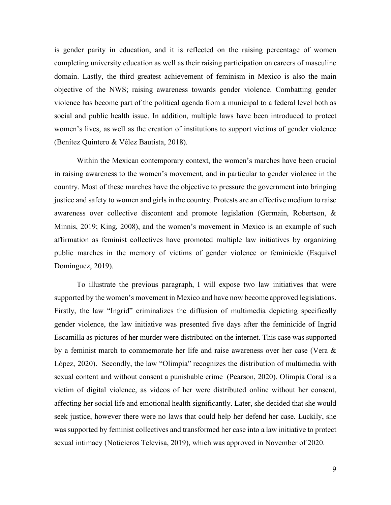is gender parity in education, and it is reflected on the raising percentage of women completing university education as well as their raising participation on careers of masculine domain. Lastly, the third greatest achievement of feminism in Mexico is also the main objective of the NWS; raising awareness towards gender violence. Combatting gender violence has become part of the political agenda from a municipal to a federal level both as social and public health issue. In addition, multiple laws have been introduced to protect women's lives, as well as the creation of institutions to support victims of gender violence (Benítez Quintero & Vélez Bautista, 2018).

Within the Mexican contemporary context, the women's marches have been crucial in raising awareness to the women's movement, and in particular to gender violence in the country. Most of these marches have the objective to pressure the government into bringing justice and safety to women and girls in the country. Protests are an effective medium to raise awareness over collective discontent and promote legislation (Germain, Robertson, & Minnis, 2019; King, 2008), and the women's movement in Mexico is an example of such affirmation as feminist collectives have promoted multiple law initiatives by organizing public marches in the memory of victims of gender violence or feminicide (Esquivel Domínguez, 2019).

To illustrate the previous paragraph, I will expose two law initiatives that were supported by the women's movement in Mexico and have now become approved legislations. Firstly, the law "Ingrid" criminalizes the diffusion of multimedia depicting specifically gender violence, the law initiative was presented five days after the feminicide of Ingrid Escamilla as pictures of her murder were distributed on the internet. This case was supported by a feminist march to commemorate her life and raise awareness over her case (Vera & López, 2020). Secondly, the law "Olimpia" recognizes the distribution of multimedia with sexual content and without consent a punishable crime (Pearson, 2020). Olimpia Coral is a victim of digital violence, as videos of her were distributed online without her consent, affecting her social life and emotional health significantly. Later, she decided that she would seek justice, however there were no laws that could help her defend her case. Luckily, she was supported by feminist collectives and transformed her case into a law initiative to protect sexual intimacy (Noticieros Televisa, 2019), which was approved in November of 2020.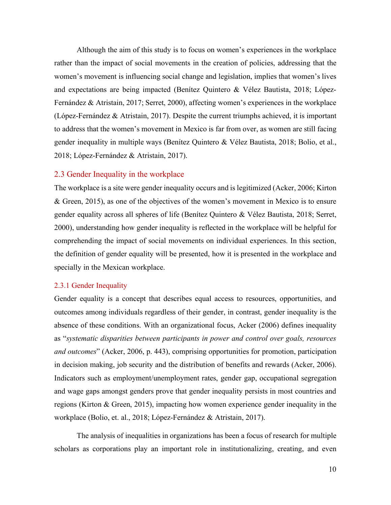Although the aim of this study is to focus on women's experiences in the workplace rather than the impact of social movements in the creation of policies, addressing that the women's movement is influencing social change and legislation, implies that women's lives and expectations are being impacted (Benítez Quintero & Vélez Bautista, 2018; López-Fernández & Atristain, 2017; Serret, 2000), affecting women's experiences in the workplace (López-Fernández & Atristain, 2017). Despite the current triumphs achieved, it is important to address that the women's movement in Mexico is far from over, as women are still facing gender inequality in multiple ways (Benítez Quintero & Vélez Bautista, 2018; Bolio, et al., 2018; López-Fernández & Atristain, 2017).

#### <span id="page-13-0"></span>2.3 Gender Inequality in the workplace

The workplace is a site were gender inequality occurs and is legitimized (Acker, 2006; Kirton & Green, 2015), as one of the objectives of the women's movement in Mexico is to ensure gender equality across all spheres of life (Benítez Quintero & Vélez Bautista, 2018; Serret, 2000), understanding how gender inequality is reflected in the workplace will be helpful for comprehending the impact of social movements on individual experiences. In this section, the definition of gender equality will be presented, how it is presented in the workplace and specially in the Mexican workplace.

#### <span id="page-13-1"></span>2.3.1 Gender Inequality

Gender equality is a concept that describes equal access to resources, opportunities, and outcomes among individuals regardless of their gender, in contrast, gender inequality is the absence of these conditions. With an organizational focus, Acker (2006) defines inequality as "*systematic disparities between participants in power and control over goals, resources and outcomes*" (Acker, 2006, p. 443), comprising opportunities for promotion, participation in decision making, job security and the distribution of benefits and rewards (Acker, 2006). Indicators such as employment/unemployment rates, gender gap, occupational segregation and wage gaps amongst genders prove that gender inequality persists in most countries and regions (Kirton & Green, 2015), impacting how women experience gender inequality in the workplace (Bolio, et. al., 2018; López-Fernández & Atristain, 2017).

The analysis of inequalities in organizations has been a focus of research for multiple scholars as corporations play an important role in institutionalizing, creating, and even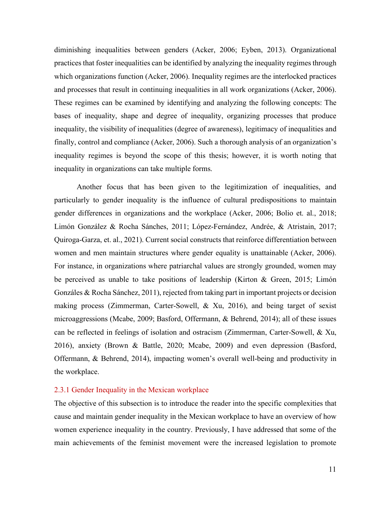diminishing inequalities between genders (Acker, 2006; Eyben, 2013). Organizational practices that foster inequalities can be identified by analyzing the inequality regimes through which organizations function (Acker, 2006). Inequality regimes are the interlocked practices and processes that result in continuing inequalities in all work organizations (Acker, 2006). These regimes can be examined by identifying and analyzing the following concepts: The bases of inequality, shape and degree of inequality, organizing processes that produce inequality, the visibility of inequalities (degree of awareness), legitimacy of inequalities and finally, control and compliance (Acker, 2006). Such a thorough analysis of an organization's inequality regimes is beyond the scope of this thesis; however, it is worth noting that inequality in organizations can take multiple forms.

Another focus that has been given to the legitimization of inequalities, and particularly to gender inequality is the influence of cultural predispositions to maintain gender differences in organizations and the workplace (Acker, 2006; Bolio et. al., 2018; Limón González & Rocha Sánches, 2011; López-Fernández, Andrée, & Atristain, 2017; Quiroga-Garza, et. al., 2021). Current social constructs that reinforce differentiation between women and men maintain structures where gender equality is unattainable (Acker, 2006). For instance, in organizations where patriarchal values are strongly grounded, women may be perceived as unable to take positions of leadership (Kirton & Green, 2015; Limón Gonzáles & Rocha Sánchez, 2011), rejected from taking part in important projects or decision making process (Zimmerman, Carter-Sowell, & Xu, 2016), and being target of sexist microaggressions (Mcabe, 2009; Basford, Offermann, & Behrend, 2014); all of these issues can be reflected in feelings of isolation and ostracism (Zimmerman, Carter-Sowell, & Xu, 2016), anxiety (Brown & Battle, 2020; Mcabe, 2009) and even depression (Basford, Offermann, & Behrend, 2014), impacting women's overall well-being and productivity in the workplace.

#### <span id="page-14-0"></span>2.3.1 Gender Inequality in the Mexican workplace

The objective of this subsection is to introduce the reader into the specific complexities that cause and maintain gender inequality in the Mexican workplace to have an overview of how women experience inequality in the country. Previously, I have addressed that some of the main achievements of the feminist movement were the increased legislation to promote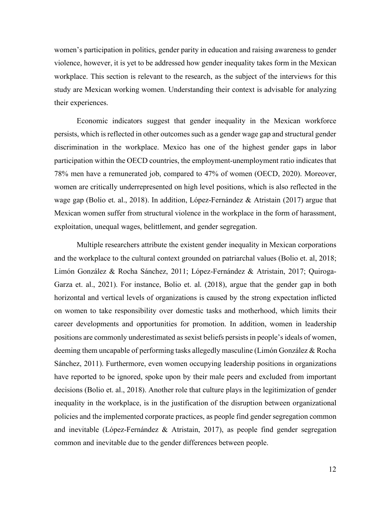women's participation in politics, gender parity in education and raising awareness to gender violence, however, it is yet to be addressed how gender inequality takes form in the Mexican workplace. This section is relevant to the research, as the subject of the interviews for this study are Mexican working women. Understanding their context is advisable for analyzing their experiences.

Economic indicators suggest that gender inequality in the Mexican workforce persists, which is reflected in other outcomes such as a gender wage gap and structural gender discrimination in the workplace. Mexico has one of the highest gender gaps in labor participation within the OECD countries, the employment-unemployment ratio indicates that 78% men have a remunerated job, compared to 47% of women (OECD, 2020). Moreover, women are critically underrepresented on high level positions, which is also reflected in the wage gap (Bolio et. al., 2018). In addition, López-Fernández & Atristain (2017) argue that Mexican women suffer from structural violence in the workplace in the form of harassment, exploitation, unequal wages, belittlement, and gender segregation.

Multiple researchers attribute the existent gender inequality in Mexican corporations and the workplace to the cultural context grounded on patriarchal values (Bolio et. al, 2018; Limón González & Rocha Sánchez, 2011; López-Fernández & Atristain, 2017; Quiroga-Garza et. al., 2021). For instance, Bolio et. al. (2018), argue that the gender gap in both horizontal and vertical levels of organizations is caused by the strong expectation inflicted on women to take responsibility over domestic tasks and motherhood, which limits their career developments and opportunities for promotion. In addition, women in leadership positions are commonly underestimated as sexist beliefs persists in people's ideals of women, deeming them uncapable of performing tasks allegedly masculine (Limón González & Rocha Sánchez, 2011). Furthermore, even women occupying leadership positions in organizations have reported to be ignored, spoke upon by their male peers and excluded from important decisions (Bolio et. al., 2018). Another role that culture plays in the legitimization of gender inequality in the workplace, is in the justification of the disruption between organizational policies and the implemented corporate practices, as people find gender segregation common and inevitable (López-Fernández & Atristain, 2017), as people find gender segregation common and inevitable due to the gender differences between people.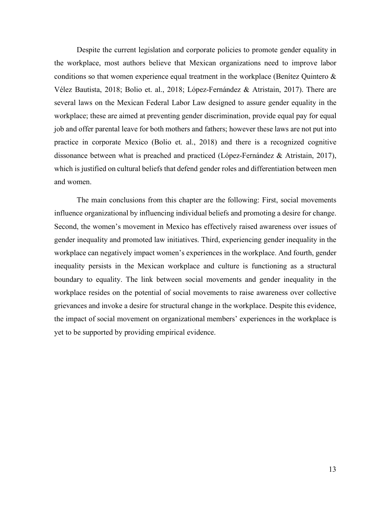Despite the current legislation and corporate policies to promote gender equality in the workplace, most authors believe that Mexican organizations need to improve labor conditions so that women experience equal treatment in the workplace (Benítez Quintero & Vélez Bautista, 2018; Bolio et. al., 2018; López-Fernández & Atristain, 2017). There are several laws on the Mexican Federal Labor Law designed to assure gender equality in the workplace; these are aimed at preventing gender discrimination, provide equal pay for equal job and offer parental leave for both mothers and fathers; however these laws are not put into practice in corporate Mexico (Bolio et. al., 2018) and there is a recognized cognitive dissonance between what is preached and practiced (López-Fernández & Atristain, 2017), which is justified on cultural beliefs that defend gender roles and differentiation between men and women.

The main conclusions from this chapter are the following: First, social movements influence organizational by influencing individual beliefs and promoting a desire for change. Second, the women's movement in Mexico has effectively raised awareness over issues of gender inequality and promoted law initiatives. Third, experiencing gender inequality in the workplace can negatively impact women's experiences in the workplace. And fourth, gender inequality persists in the Mexican workplace and culture is functioning as a structural boundary to equality. The link between social movements and gender inequality in the workplace resides on the potential of social movements to raise awareness over collective grievances and invoke a desire for structural change in the workplace. Despite this evidence, the impact of social movement on organizational members' experiences in the workplace is yet to be supported by providing empirical evidence.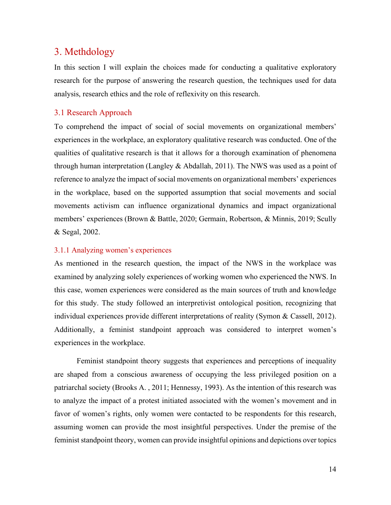## <span id="page-17-0"></span>3. Methdology

In this section I will explain the choices made for conducting a qualitative exploratory research for the purpose of answering the research question, the techniques used for data analysis, research ethics and the role of reflexivity on this research.

#### <span id="page-17-1"></span>3.1 Research Approach

To comprehend the impact of social of social movements on organizational members' experiences in the workplace, an exploratory qualitative research was conducted. One of the qualities of qualitative research is that it allows for a thorough examination of phenomena through human interpretation (Langley  $&$  Abdallah, 2011). The NWS was used as a point of reference to analyze the impact of social movements on organizational members' experiences in the workplace, based on the supported assumption that social movements and social movements activism can influence organizational dynamics and impact organizational members' experiences (Brown & Battle, 2020; Germain, Robertson, & Minnis, 2019; Scully & Segal, 2002.

#### <span id="page-17-2"></span>3.1.1 Analyzing women's experiences

As mentioned in the research question, the impact of the NWS in the workplace was examined by analyzing solely experiences of working women who experienced the NWS. In this case, women experiences were considered as the main sources of truth and knowledge for this study. The study followed an interpretivist ontological position, recognizing that individual experiences provide different interpretations of reality (Symon & Cassell, 2012). Additionally, a feminist standpoint approach was considered to interpret women's experiences in the workplace.

Feminist standpoint theory suggests that experiences and perceptions of inequality are shaped from a conscious awareness of occupying the less privileged position on a patriarchal society (Brooks A. , 2011; Hennessy, 1993). As the intention of this research was to analyze the impact of a protest initiated associated with the women's movement and in favor of women's rights, only women were contacted to be respondents for this research, assuming women can provide the most insightful perspectives. Under the premise of the feminist standpoint theory, women can provide insightful opinions and depictions over topics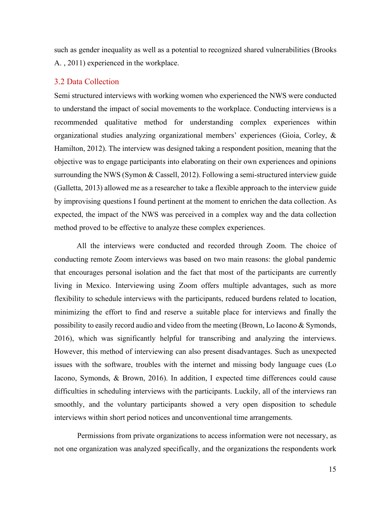such as gender inequality as well as a potential to recognized shared vulnerabilities (Brooks A. , 2011) experienced in the workplace.

### <span id="page-18-0"></span>3.2 Data Collection

Semi structured interviews with working women who experienced the NWS were conducted to understand the impact of social movements to the workplace. Conducting interviews is a recommended qualitative method for understanding complex experiences within organizational studies analyzing organizational members' experiences (Gioia, Corley, & Hamilton, 2012). The interview was designed taking a respondent position, meaning that the objective was to engage participants into elaborating on their own experiences and opinions surrounding the NWS (Symon & Cassell, 2012). Following a semi-structured interview guide (Galletta, 2013) allowed me as a researcher to take a flexible approach to the interview guide by improvising questions I found pertinent at the moment to enrichen the data collection. As expected, the impact of the NWS was perceived in a complex way and the data collection method proved to be effective to analyze these complex experiences.

All the interviews were conducted and recorded through Zoom. The choice of conducting remote Zoom interviews was based on two main reasons: the global pandemic that encourages personal isolation and the fact that most of the participants are currently living in Mexico. Interviewing using Zoom offers multiple advantages, such as more flexibility to schedule interviews with the participants, reduced burdens related to location, minimizing the effort to find and reserve a suitable place for interviews and finally the possibility to easily record audio and video from the meeting (Brown, Lo Iacono & Symonds, 2016), which was significantly helpful for transcribing and analyzing the interviews. However, this method of interviewing can also present disadvantages. Such as unexpected issues with the software, troubles with the internet and missing body language cues (Lo Iacono, Symonds, & Brown, 2016). In addition, I expected time differences could cause difficulties in scheduling interviews with the participants. Luckily, all of the interviews ran smoothly, and the voluntary participants showed a very open disposition to schedule interviews within short period notices and unconventional time arrangements.

Permissions from private organizations to access information were not necessary, as not one organization was analyzed specifically, and the organizations the respondents work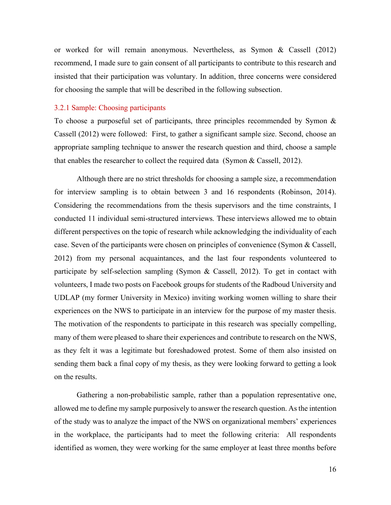or worked for will remain anonymous. Nevertheless, as Symon & Cassell (2012) recommend, I made sure to gain consent of all participants to contribute to this research and insisted that their participation was voluntary. In addition, three concerns were considered for choosing the sample that will be described in the following subsection.

#### <span id="page-19-0"></span>3.2.1 Sample: Choosing participants

To choose a purposeful set of participants, three principles recommended by Symon & Cassell (2012) were followed: First, to gather a significant sample size. Second, choose an appropriate sampling technique to answer the research question and third, choose a sample that enables the researcher to collect the required data (Symon & Cassell, 2012).

Although there are no strict thresholds for choosing a sample size, a recommendation for interview sampling is to obtain between 3 and 16 respondents (Robinson, 2014). Considering the recommendations from the thesis supervisors and the time constraints, I conducted 11 individual semi-structured interviews. These interviews allowed me to obtain different perspectives on the topic of research while acknowledging the individuality of each case. Seven of the participants were chosen on principles of convenience (Symon & Cassell, 2012) from my personal acquaintances, and the last four respondents volunteered to participate by self-selection sampling (Symon & Cassell, 2012). To get in contact with volunteers, I made two posts on Facebook groups for students of the Radboud University and UDLAP (my former University in Mexico) inviting working women willing to share their experiences on the NWS to participate in an interview for the purpose of my master thesis. The motivation of the respondents to participate in this research was specially compelling, many of them were pleased to share their experiences and contribute to research on the NWS, as they felt it was a legitimate but foreshadowed protest. Some of them also insisted on sending them back a final copy of my thesis, as they were looking forward to getting a look on the results.

Gathering a non-probabilistic sample, rather than a population representative one, allowed me to define my sample purposively to answer the research question. As the intention of the study was to analyze the impact of the NWS on organizational members' experiences in the workplace, the participants had to meet the following criteria: All respondents identified as women, they were working for the same employer at least three months before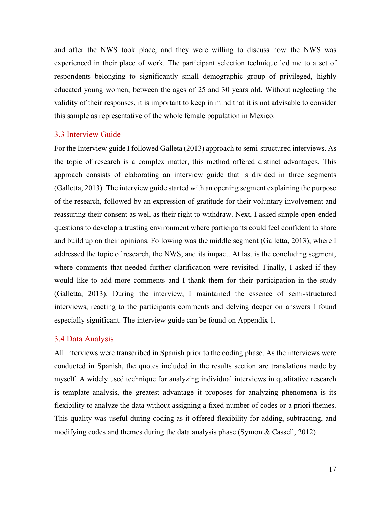and after the NWS took place, and they were willing to discuss how the NWS was experienced in their place of work. The participant selection technique led me to a set of respondents belonging to significantly small demographic group of privileged, highly educated young women, between the ages of 25 and 30 years old. Without neglecting the validity of their responses, it is important to keep in mind that it is not advisable to consider this sample as representative of the whole female population in Mexico.

#### <span id="page-20-0"></span>3.3 Interview Guide

For the Interview guide I followed Galleta (2013) approach to semi-structured interviews. As the topic of research is a complex matter, this method offered distinct advantages. This approach consists of elaborating an interview guide that is divided in three segments (Galletta, 2013). The interview guide started with an opening segment explaining the purpose of the research, followed by an expression of gratitude for their voluntary involvement and reassuring their consent as well as their right to withdraw. Next, I asked simple open-ended questions to develop a trusting environment where participants could feel confident to share and build up on their opinions. Following was the middle segment (Galletta, 2013), where I addressed the topic of research, the NWS, and its impact. At last is the concluding segment, where comments that needed further clarification were revisited. Finally, I asked if they would like to add more comments and I thank them for their participation in the study (Galletta, 2013). During the interview, I maintained the essence of semi-structured interviews, reacting to the participants comments and delving deeper on answers I found especially significant. The interview guide can be found on Appendix 1.

#### <span id="page-20-1"></span>3.4 Data Analysis

All interviews were transcribed in Spanish prior to the coding phase. As the interviews were conducted in Spanish, the quotes included in the results section are translations made by myself. A widely used technique for analyzing individual interviews in qualitative research is template analysis, the greatest advantage it proposes for analyzing phenomena is its flexibility to analyze the data without assigning a fixed number of codes or a priori themes. This quality was useful during coding as it offered flexibility for adding, subtracting, and modifying codes and themes during the data analysis phase (Symon & Cassell, 2012).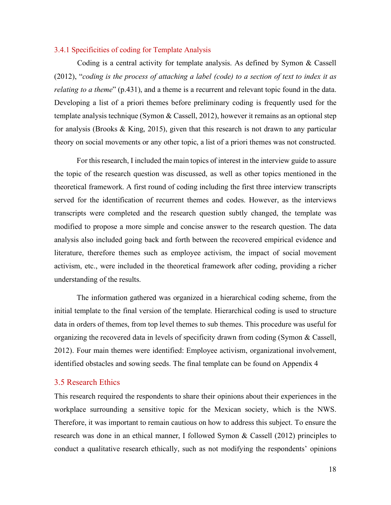#### <span id="page-21-0"></span>3.4.1 Specificities of coding for Template Analysis

Coding is a central activity for template analysis. As defined by Symon & Cassell (2012), "*coding is the process of attaching a label (code) to a section of text to index it as relating to a theme*" (p.431), and a theme is a recurrent and relevant topic found in the data. Developing a list of a priori themes before preliminary coding is frequently used for the template analysis technique (Symon & Cassell, 2012), however it remains as an optional step for analysis (Brooks & King, 2015), given that this research is not drawn to any particular theory on social movements or any other topic, a list of a priori themes was not constructed.

For this research, I included the main topics of interest in the interview guide to assure the topic of the research question was discussed, as well as other topics mentioned in the theoretical framework. A first round of coding including the first three interview transcripts served for the identification of recurrent themes and codes. However, as the interviews transcripts were completed and the research question subtly changed, the template was modified to propose a more simple and concise answer to the research question. The data analysis also included going back and forth between the recovered empirical evidence and literature, therefore themes such as employee activism, the impact of social movement activism, etc., were included in the theoretical framework after coding, providing a richer understanding of the results.

The information gathered was organized in a hierarchical coding scheme, from the initial template to the final version of the template. Hierarchical coding is used to structure data in orders of themes, from top level themes to sub themes. This procedure was useful for organizing the recovered data in levels of specificity drawn from coding (Symon & Cassell, 2012). Four main themes were identified: Employee activism, organizational involvement, identified obstacles and sowing seeds. The final template can be found on Appendix 4

#### <span id="page-21-1"></span>3.5 Research Ethics

This research required the respondents to share their opinions about their experiences in the workplace surrounding a sensitive topic for the Mexican society, which is the NWS. Therefore, it was important to remain cautious on how to address this subject. To ensure the research was done in an ethical manner, I followed Symon & Cassell (2012) principles to conduct a qualitative research ethically, such as not modifying the respondents' opinions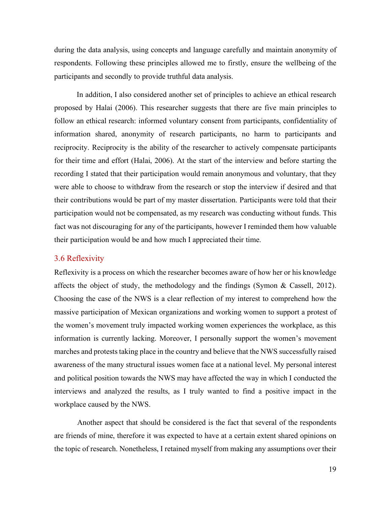during the data analysis, using concepts and language carefully and maintain anonymity of respondents. Following these principles allowed me to firstly, ensure the wellbeing of the participants and secondly to provide truthful data analysis.

In addition, I also considered another set of principles to achieve an ethical research proposed by Halai (2006). This researcher suggests that there are five main principles to follow an ethical research: informed voluntary consent from participants, confidentiality of information shared, anonymity of research participants, no harm to participants and reciprocity. Reciprocity is the ability of the researcher to actively compensate participants for their time and effort (Halai, 2006). At the start of the interview and before starting the recording I stated that their participation would remain anonymous and voluntary, that they were able to choose to withdraw from the research or stop the interview if desired and that their contributions would be part of my master dissertation. Participants were told that their participation would not be compensated, as my research was conducting without funds. This fact was not discouraging for any of the participants, however I reminded them how valuable their participation would be and how much I appreciated their time.

#### <span id="page-22-0"></span>3.6 Reflexivity

Reflexivity is a process on which the researcher becomes aware of how her or his knowledge affects the object of study, the methodology and the findings (Symon & Cassell, 2012). Choosing the case of the NWS is a clear reflection of my interest to comprehend how the massive participation of Mexican organizations and working women to support a protest of the women's movement truly impacted working women experiences the workplace, as this information is currently lacking. Moreover, I personally support the women's movement marches and protests taking place in the country and believe that the NWS successfully raised awareness of the many structural issues women face at a national level. My personal interest and political position towards the NWS may have affected the way in which I conducted the interviews and analyzed the results, as I truly wanted to find a positive impact in the workplace caused by the NWS.

Another aspect that should be considered is the fact that several of the respondents are friends of mine, therefore it was expected to have at a certain extent shared opinions on the topic of research. Nonetheless, I retained myself from making any assumptions over their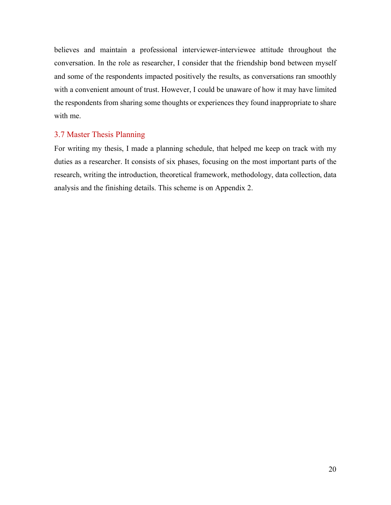believes and maintain a professional interviewer-interviewee attitude throughout the conversation. In the role as researcher, I consider that the friendship bond between myself and some of the respondents impacted positively the results, as conversations ran smoothly with a convenient amount of trust. However, I could be unaware of how it may have limited the respondents from sharing some thoughts or experiences they found inappropriate to share with me.

#### <span id="page-23-0"></span>3.7 Master Thesis Planning

For writing my thesis, I made a planning schedule, that helped me keep on track with my duties as a researcher. It consists of six phases, focusing on the most important parts of the research, writing the introduction, theoretical framework, methodology, data collection, data analysis and the finishing details. This scheme is on Appendix 2.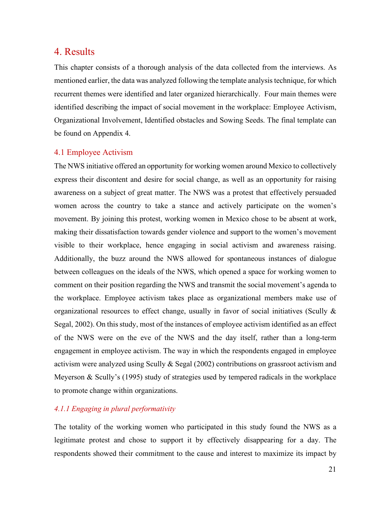## <span id="page-24-0"></span>4. Results

This chapter consists of a thorough analysis of the data collected from the interviews. As mentioned earlier, the data was analyzed following the template analysis technique, for which recurrent themes were identified and later organized hierarchically. Four main themes were identified describing the impact of social movement in the workplace: Employee Activism, Organizational Involvement, Identified obstacles and Sowing Seeds. The final template can be found on Appendix 4.

### <span id="page-24-1"></span>4.1 Employee Activism

The NWS initiative offered an opportunity for working women around Mexico to collectively express their discontent and desire for social change, as well as an opportunity for raising awareness on a subject of great matter. The NWS was a protest that effectively persuaded women across the country to take a stance and actively participate on the women's movement. By joining this protest, working women in Mexico chose to be absent at work, making their dissatisfaction towards gender violence and support to the women's movement visible to their workplace, hence engaging in social activism and awareness raising. Additionally, the buzz around the NWS allowed for spontaneous instances of dialogue between colleagues on the ideals of the NWS, which opened a space for working women to comment on their position regarding the NWS and transmit the social movement's agenda to the workplace. Employee activism takes place as organizational members make use of organizational resources to effect change, usually in favor of social initiatives (Scully & Segal, 2002). On this study, most of the instances of employee activism identified as an effect of the NWS were on the eve of the NWS and the day itself, rather than a long-term engagement in employee activism. The way in which the respondents engaged in employee activism were analyzed using Scully & Segal (2002) contributions on grassroot activism and Meyerson & Scully's (1995) study of strategies used by tempered radicals in the workplace to promote change within organizations.

### *4.1.1 Engaging in plural performativity*

The totality of the working women who participated in this study found the NWS as a legitimate protest and chose to support it by effectively disappearing for a day. The respondents showed their commitment to the cause and interest to maximize its impact by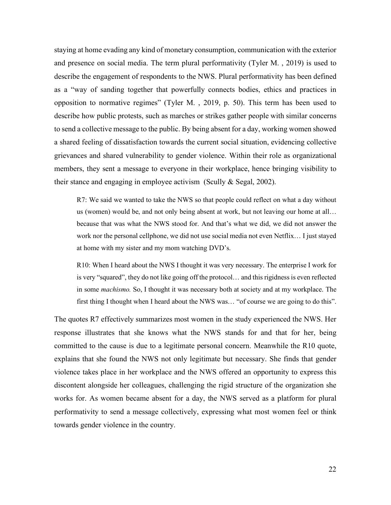staying at home evading any kind of monetary consumption, communication with the exterior and presence on social media. The term plural performativity (Tyler M. , 2019) is used to describe the engagement of respondents to the NWS. Plural performativity has been defined as a "way of sanding together that powerfully connects bodies, ethics and practices in opposition to normative regimes" (Tyler M. , 2019, p. 50). This term has been used to describe how public protests, such as marches or strikes gather people with similar concerns to send a collective message to the public. By being absent for a day, working women showed a shared feeling of dissatisfaction towards the current social situation, evidencing collective grievances and shared vulnerability to gender violence. Within their role as organizational members, they sent a message to everyone in their workplace, hence bringing visibility to their stance and engaging in employee activism (Scully & Segal, 2002).

R7: We said we wanted to take the NWS so that people could reflect on what a day without us (women) would be, and not only being absent at work, but not leaving our home at all… because that was what the NWS stood for. And that's what we did, we did not answer the work nor the personal cellphone, we did not use social media not even Netflix… I just stayed at home with my sister and my mom watching DVD's.

R10: When I heard about the NWS I thought it was very necessary. The enterprise I work for is very "squared", they do not like going off the protocol… and this rigidness is even reflected in some *machismo.* So, I thought it was necessary both at society and at my workplace. The first thing I thought when I heard about the NWS was… "of course we are going to do this".

The quotes R7 effectively summarizes most women in the study experienced the NWS. Her response illustrates that she knows what the NWS stands for and that for her, being committed to the cause is due to a legitimate personal concern. Meanwhile the R10 quote, explains that she found the NWS not only legitimate but necessary. She finds that gender violence takes place in her workplace and the NWS offered an opportunity to express this discontent alongside her colleagues, challenging the rigid structure of the organization she works for. As women became absent for a day, the NWS served as a platform for plural performativity to send a message collectively, expressing what most women feel or think towards gender violence in the country.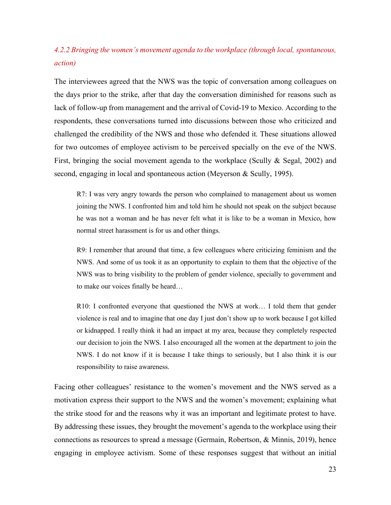## *4.2.2 Bringing the women's movement agenda to the workplace (through local, spontaneous, action)*

The interviewees agreed that the NWS was the topic of conversation among colleagues on the days prior to the strike, after that day the conversation diminished for reasons such as lack of follow-up from management and the arrival of Covid-19 to Mexico. According to the respondents, these conversations turned into discussions between those who criticized and challenged the credibility of the NWS and those who defended it. These situations allowed for two outcomes of employee activism to be perceived specially on the eve of the NWS. First, bringing the social movement agenda to the workplace (Scully & Segal, 2002) and second, engaging in local and spontaneous action (Meyerson & Scully, 1995).

R7: I was very angry towards the person who complained to management about us women joining the NWS. I confronted him and told him he should not speak on the subject because he was not a woman and he has never felt what it is like to be a woman in Mexico, how normal street harassment is for us and other things.

R9: I remember that around that time, a few colleagues where criticizing feminism and the NWS. And some of us took it as an opportunity to explain to them that the objective of the NWS was to bring visibility to the problem of gender violence, specially to government and to make our voices finally be heard…

R10: I confronted everyone that questioned the NWS at work… I told them that gender violence is real and to imagine that one day I just don't show up to work because I got killed or kidnapped. I really think it had an impact at my area, because they completely respected our decision to join the NWS. I also encouraged all the women at the department to join the NWS. I do not know if it is because I take things to seriously, but I also think it is our responsibility to raise awareness.

Facing other colleagues' resistance to the women's movement and the NWS served as a motivation express their support to the NWS and the women's movement; explaining what the strike stood for and the reasons why it was an important and legitimate protest to have. By addressing these issues, they brought the movement's agenda to the workplace using their connections as resources to spread a message (Germain, Robertson, & Minnis, 2019), hence engaging in employee activism. Some of these responses suggest that without an initial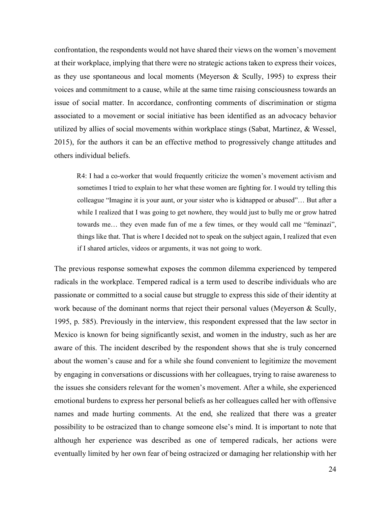confrontation, the respondents would not have shared their views on the women's movement at their workplace, implying that there were no strategic actions taken to express their voices, as they use spontaneous and local moments (Meyerson & Scully, 1995) to express their voices and commitment to a cause, while at the same time raising consciousness towards an issue of social matter. In accordance, confronting comments of discrimination or stigma associated to a movement or social initiative has been identified as an advocacy behavior utilized by allies of social movements within workplace stings (Sabat, Martinez, & Wessel, 2015), for the authors it can be an effective method to progressively change attitudes and others individual beliefs.

R4: I had a co-worker that would frequently criticize the women's movement activism and sometimes I tried to explain to her what these women are fighting for. I would try telling this colleague "Imagine it is your aunt, or your sister who is kidnapped or abused"… But after a while I realized that I was going to get nowhere, they would just to bully me or grow hatred towards me… they even made fun of me a few times, or they would call me "feminazi", things like that. That is where I decided not to speak on the subject again, I realized that even if I shared articles, videos or arguments, it was not going to work.

The previous response somewhat exposes the common dilemma experienced by tempered radicals in the workplace. Tempered radical is a term used to describe individuals who are passionate or committed to a social cause but struggle to express this side of their identity at work because of the dominant norms that reject their personal values (Meyerson & Scully, 1995, p. 585). Previously in the interview, this respondent expressed that the law sector in Mexico is known for being significantly sexist, and women in the industry, such as her are aware of this. The incident described by the respondent shows that she is truly concerned about the women's cause and for a while she found convenient to legitimize the movement by engaging in conversations or discussions with her colleagues, trying to raise awareness to the issues she considers relevant for the women's movement. After a while, she experienced emotional burdens to express her personal beliefs as her colleagues called her with offensive names and made hurting comments. At the end, she realized that there was a greater possibility to be ostracized than to change someone else's mind. It is important to note that although her experience was described as one of tempered radicals, her actions were eventually limited by her own fear of being ostracized or damaging her relationship with her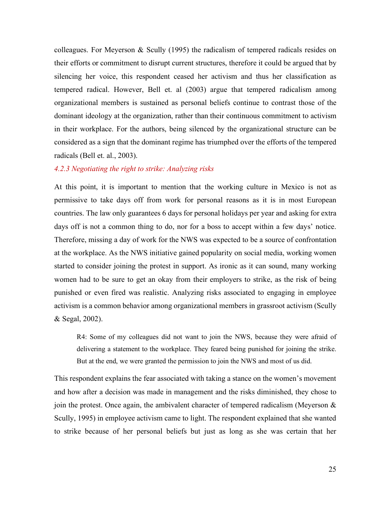colleagues. For Meyerson & Scully (1995) the radicalism of tempered radicals resides on their efforts or commitment to disrupt current structures, therefore it could be argued that by silencing her voice, this respondent ceased her activism and thus her classification as tempered radical. However, Bell et. al (2003) argue that tempered radicalism among organizational members is sustained as personal beliefs continue to contrast those of the dominant ideology at the organization, rather than their continuous commitment to activism in their workplace. For the authors, being silenced by the organizational structure can be considered as a sign that the dominant regime has triumphed over the efforts of the tempered radicals (Bell et. al., 2003).

#### *4.2.3 Negotiating the right to strike: Analyzing risks*

At this point, it is important to mention that the working culture in Mexico is not as permissive to take days off from work for personal reasons as it is in most European countries. The law only guarantees 6 days for personal holidays per year and asking for extra days off is not a common thing to do, nor for a boss to accept within a few days' notice. Therefore, missing a day of work for the NWS was expected to be a source of confrontation at the workplace. As the NWS initiative gained popularity on social media, working women started to consider joining the protest in support. As ironic as it can sound, many working women had to be sure to get an okay from their employers to strike, as the risk of being punished or even fired was realistic. Analyzing risks associated to engaging in employee activism is a common behavior among organizational members in grassroot activism (Scully & Segal, 2002).

R4: Some of my colleagues did not want to join the NWS, because they were afraid of delivering a statement to the workplace. They feared being punished for joining the strike. But at the end, we were granted the permission to join the NWS and most of us did.

This respondent explains the fear associated with taking a stance on the women's movement and how after a decision was made in management and the risks diminished, they chose to join the protest. Once again, the ambivalent character of tempered radicalism (Meyerson  $\&$ Scully, 1995) in employee activism came to light. The respondent explained that she wanted to strike because of her personal beliefs but just as long as she was certain that her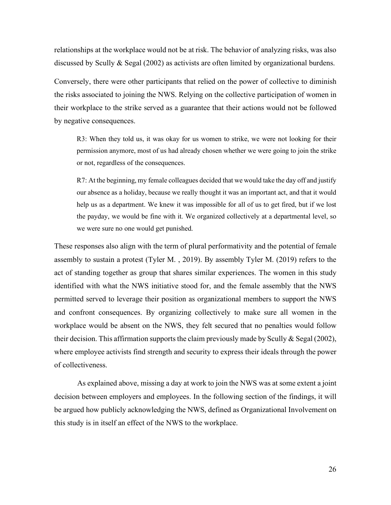relationships at the workplace would not be at risk. The behavior of analyzing risks, was also discussed by Scully & Segal (2002) as activists are often limited by organizational burdens.

Conversely, there were other participants that relied on the power of collective to diminish the risks associated to joining the NWS. Relying on the collective participation of women in their workplace to the strike served as a guarantee that their actions would not be followed by negative consequences.

R3: When they told us, it was okay for us women to strike, we were not looking for their permission anymore, most of us had already chosen whether we were going to join the strike or not, regardless of the consequences.

R7: At the beginning, my female colleagues decided that we would take the day off and justify our absence as a holiday, because we really thought it was an important act, and that it would help us as a department. We knew it was impossible for all of us to get fired, but if we lost the payday, we would be fine with it. We organized collectively at a departmental level, so we were sure no one would get punished.

These responses also align with the term of plural performativity and the potential of female assembly to sustain a protest (Tyler M. , 2019). By assembly Tyler M. (2019) refers to the act of standing together as group that shares similar experiences. The women in this study identified with what the NWS initiative stood for, and the female assembly that the NWS permitted served to leverage their position as organizational members to support the NWS and confront consequences. By organizing collectively to make sure all women in the workplace would be absent on the NWS, they felt secured that no penalties would follow their decision. This affirmation supports the claim previously made by Scully & Segal (2002), where employee activists find strength and security to express their ideals through the power of collectiveness.

As explained above, missing a day at work to join the NWS was at some extent a joint decision between employers and employees. In the following section of the findings, it will be argued how publicly acknowledging the NWS, defined as Organizational Involvement on this study is in itself an effect of the NWS to the workplace.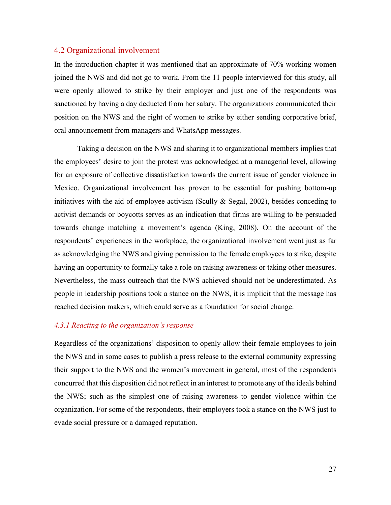#### <span id="page-30-0"></span>4.2 Organizational involvement

In the introduction chapter it was mentioned that an approximate of 70% working women joined the NWS and did not go to work. From the 11 people interviewed for this study, all were openly allowed to strike by their employer and just one of the respondents was sanctioned by having a day deducted from her salary. The organizations communicated their position on the NWS and the right of women to strike by either sending corporative brief, oral announcement from managers and WhatsApp messages.

Taking a decision on the NWS and sharing it to organizational members implies that the employees' desire to join the protest was acknowledged at a managerial level, allowing for an exposure of collective dissatisfaction towards the current issue of gender violence in Mexico. Organizational involvement has proven to be essential for pushing bottom-up initiatives with the aid of employee activism (Scully & Segal, 2002), besides conceding to activist demands or boycotts serves as an indication that firms are willing to be persuaded towards change matching a movement's agenda (King, 2008). On the account of the respondents' experiences in the workplace, the organizational involvement went just as far as acknowledging the NWS and giving permission to the female employees to strike, despite having an opportunity to formally take a role on raising awareness or taking other measures. Nevertheless, the mass outreach that the NWS achieved should not be underestimated. As people in leadership positions took a stance on the NWS, it is implicit that the message has reached decision makers, which could serve as a foundation for social change.

#### *4.3.1 Reacting to the organization's response*

Regardless of the organizations' disposition to openly allow their female employees to join the NWS and in some cases to publish a press release to the external community expressing their support to the NWS and the women's movement in general, most of the respondents concurred that this disposition did not reflect in an interest to promote any of the ideals behind the NWS; such as the simplest one of raising awareness to gender violence within the organization. For some of the respondents, their employers took a stance on the NWS just to evade social pressure or a damaged reputation.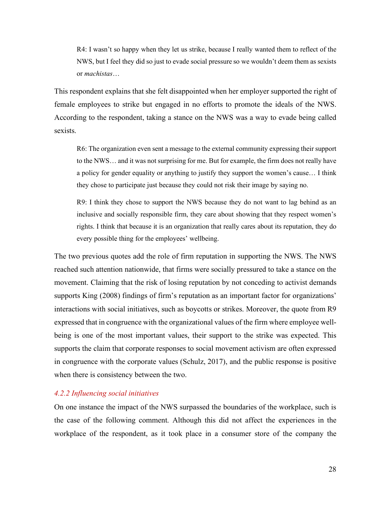R4: I wasn't so happy when they let us strike, because I really wanted them to reflect of the NWS, but I feel they did so just to evade social pressure so we wouldn't deem them as sexists or *machistas*…

This respondent explains that she felt disappointed when her employer supported the right of female employees to strike but engaged in no efforts to promote the ideals of the NWS. According to the respondent, taking a stance on the NWS was a way to evade being called sexists.

R6: The organization even sent a message to the external community expressing their support to the NWS… and it was not surprising for me. But for example, the firm does not really have a policy for gender equality or anything to justify they support the women's cause… I think they chose to participate just because they could not risk their image by saying no.

R9: I think they chose to support the NWS because they do not want to lag behind as an inclusive and socially responsible firm, they care about showing that they respect women's rights. I think that because it is an organization that really cares about its reputation, they do every possible thing for the employees' wellbeing.

The two previous quotes add the role of firm reputation in supporting the NWS. The NWS reached such attention nationwide, that firms were socially pressured to take a stance on the movement. Claiming that the risk of losing reputation by not conceding to activist demands supports King (2008) findings of firm's reputation as an important factor for organizations' interactions with social initiatives, such as boycotts or strikes. Moreover, the quote from R9 expressed that in congruence with the organizational values of the firm where employee wellbeing is one of the most important values, their support to the strike was expected. This supports the claim that corporate responses to social movement activism are often expressed in congruence with the corporate values (Schulz, 2017), and the public response is positive when there is consistency between the two.

#### *4.2.2 Influencing social initiatives*

On one instance the impact of the NWS surpassed the boundaries of the workplace, such is the case of the following comment. Although this did not affect the experiences in the workplace of the respondent, as it took place in a consumer store of the company the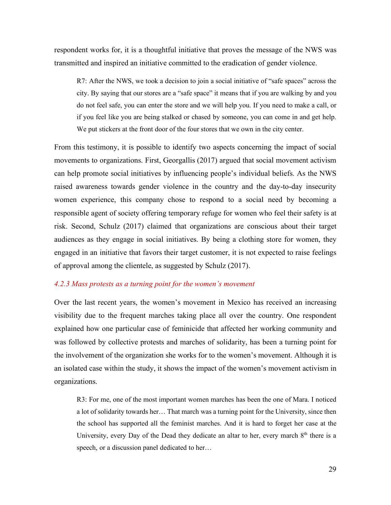respondent works for, it is a thoughtful initiative that proves the message of the NWS was transmitted and inspired an initiative committed to the eradication of gender violence.

R7: After the NWS, we took a decision to join a social initiative of "safe spaces" across the city. By saying that our stores are a "safe space" it means that if you are walking by and you do not feel safe, you can enter the store and we will help you. If you need to make a call, or if you feel like you are being stalked or chased by someone, you can come in and get help. We put stickers at the front door of the four stores that we own in the city center.

From this testimony, it is possible to identify two aspects concerning the impact of social movements to organizations. First, Georgallis (2017) argued that social movement activism can help promote social initiatives by influencing people's individual beliefs. As the NWS raised awareness towards gender violence in the country and the day-to-day insecurity women experience, this company chose to respond to a social need by becoming a responsible agent of society offering temporary refuge for women who feel their safety is at risk. Second, Schulz (2017) claimed that organizations are conscious about their target audiences as they engage in social initiatives. By being a clothing store for women, they engaged in an initiative that favors their target customer, it is not expected to raise feelings of approval among the clientele, as suggested by Schulz (2017).

#### *4.2.3 Mass protests as a turning point for the women's movement*

Over the last recent years, the women's movement in Mexico has received an increasing visibility due to the frequent marches taking place all over the country. One respondent explained how one particular case of feminicide that affected her working community and was followed by collective protests and marches of solidarity, has been a turning point for the involvement of the organization she works for to the women's movement. Although it is an isolated case within the study, it shows the impact of the women's movement activism in organizations.

R3: For me, one of the most important women marches has been the one of Mara. I noticed a lot of solidarity towards her… That march was a turning point for the University, since then the school has supported all the feminist marches. And it is hard to forget her case at the University, every Day of the Dead they dedicate an altar to her, every march  $8<sup>th</sup>$  there is a speech, or a discussion panel dedicated to her…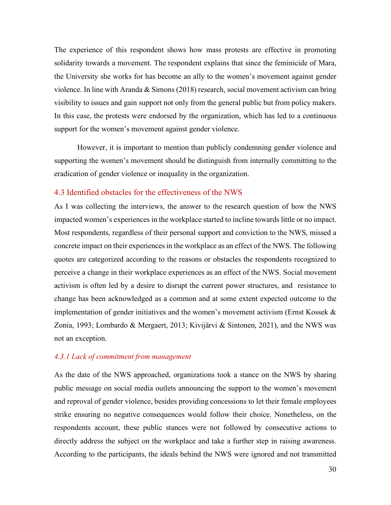The experience of this respondent shows how mass protests are effective in promoting solidarity towards a movement. The respondent explains that since the feminicide of Mara, the University she works for has become an ally to the women's movement against gender violence. In line with Aranda & Simons (2018) research, social movement activism can bring visibility to issues and gain support not only from the general public but from policy makers. In this case, the protests were endorsed by the organization, which has led to a continuous support for the women's movement against gender violence.

However, it is important to mention than publicly condemning gender violence and supporting the women's movement should be distinguish from internally committing to the eradication of gender violence or inequality in the organization.

#### <span id="page-33-0"></span>4.3 Identified obstacles for the effectiveness of the NWS

As I was collecting the interviews, the answer to the research question of how the NWS impacted women's experiences in the workplace started to incline towards little or no impact. Most respondents, regardless of their personal support and conviction to the NWS, missed a concrete impact on their experiences in the workplace as an effect of the NWS. The following quotes are categorized according to the reasons or obstacles the respondents recognized to perceive a change in their workplace experiences as an effect of the NWS. Social movement activism is often led by a desire to disrupt the current power structures, and resistance to change has been acknowledged as a common and at some extent expected outcome to the implementation of gender initiatives and the women's movement activism (Ernst Kossek & Zonia, 1993; Lombardo & Mergaert, 2013; Kivijärvi & Sintonen, 2021), and the NWS was not an exception.

#### *4.3.1 Lack of commitment from management*

As the date of the NWS approached, organizations took a stance on the NWS by sharing public message on social media outlets announcing the support to the women's movement and reproval of gender violence, besides providing concessions to let their female employees strike ensuring no negative consequences would follow their choice. Nonetheless, on the respondents account, these public stances were not followed by consecutive actions to directly address the subject on the workplace and take a further step in raising awareness. According to the participants, the ideals behind the NWS were ignored and not transmitted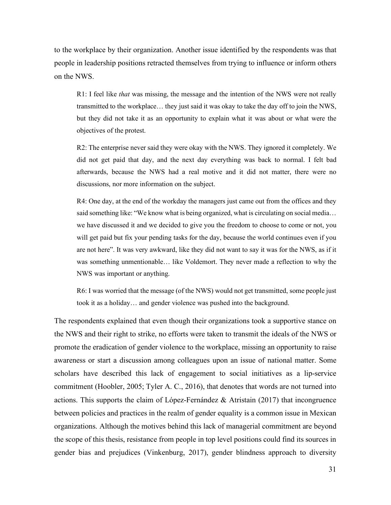to the workplace by their organization. Another issue identified by the respondents was that people in leadership positions retracted themselves from trying to influence or inform others on the NWS.

R1: I feel like *that* was missing, the message and the intention of the NWS were not really transmitted to the workplace… they just said it was okay to take the day off to join the NWS, but they did not take it as an opportunity to explain what it was about or what were the objectives of the protest.

R2: The enterprise never said they were okay with the NWS. They ignored it completely. We did not get paid that day, and the next day everything was back to normal. I felt bad afterwards, because the NWS had a real motive and it did not matter, there were no discussions, nor more information on the subject.

R4: One day, at the end of the workday the managers just came out from the offices and they said something like: "We know what is being organized, what is circulating on social media… we have discussed it and we decided to give you the freedom to choose to come or not, you will get paid but fix your pending tasks for the day, because the world continues even if you are not here". It was very awkward, like they did not want to say it was for the NWS, as if it was something unmentionable… like Voldemort. They never made a reflection to why the NWS was important or anything.

R6: I was worried that the message (of the NWS) would not get transmitted, some people just took it as a holiday… and gender violence was pushed into the background.

The respondents explained that even though their organizations took a supportive stance on the NWS and their right to strike, no efforts were taken to transmit the ideals of the NWS or promote the eradication of gender violence to the workplace, missing an opportunity to raise awareness or start a discussion among colleagues upon an issue of national matter. Some scholars have described this lack of engagement to social initiatives as a lip-service commitment (Hoobler, 2005; Tyler A. C., 2016), that denotes that words are not turned into actions. This supports the claim of López-Fernández & Atristain (2017) that incongruence between policies and practices in the realm of gender equality is a common issue in Mexican organizations. Although the motives behind this lack of managerial commitment are beyond the scope of this thesis, resistance from people in top level positions could find its sources in gender bias and prejudices (Vinkenburg, 2017), gender blindness approach to diversity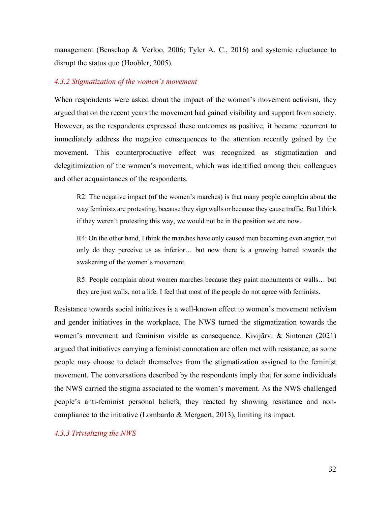management (Benschop & Verloo, 2006; Tyler A. C., 2016) and systemic reluctance to disrupt the status quo (Hoobler, 2005).

#### *4.3.2 Stigmatization of the women's movement*

When respondents were asked about the impact of the women's movement activism, they argued that on the recent years the movement had gained visibility and support from society. However, as the respondents expressed these outcomes as positive, it became recurrent to immediately address the negative consequences to the attention recently gained by the movement. This counterproductive effect was recognized as stigmatization and delegitimization of the women's movement, which was identified among their colleagues and other acquaintances of the respondents.

R2: The negative impact (of the women's marches) is that many people complain about the way feminists are protesting, because they sign walls or because they cause traffic. But I think if they weren't protesting this way, we would not be in the position we are now.

R4: On the other hand, I think the marches have only caused men becoming even angrier, not only do they perceive us as inferior… but now there is a growing hatred towards the awakening of the women's movement.

R5: People complain about women marches because they paint monuments or walls… but they are just walls, not a life. I feel that most of the people do not agree with feminists.

Resistance towards social initiatives is a well-known effect to women's movement activism and gender initiatives in the workplace. The NWS turned the stigmatization towards the women's movement and feminism visible as consequence. Kivijärvi & Sintonen (2021) argued that initiatives carrying a feminist connotation are often met with resistance, as some people may choose to detach themselves from the stigmatization assigned to the feminist movement. The conversations described by the respondents imply that for some individuals the NWS carried the stigma associated to the women's movement. As the NWS challenged people's anti-feminist personal beliefs, they reacted by showing resistance and noncompliance to the initiative (Lombardo & Mergaert, 2013), limiting its impact.

*4.3.3 Trivializing the NWS*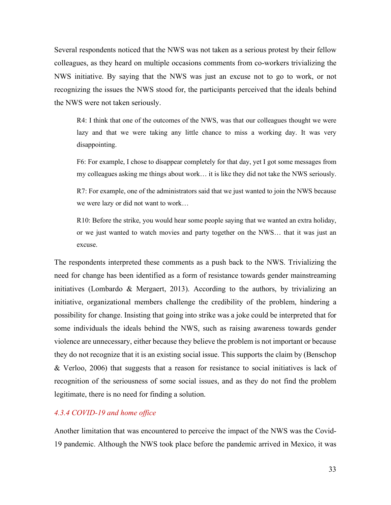Several respondents noticed that the NWS was not taken as a serious protest by their fellow colleagues, as they heard on multiple occasions comments from co-workers trivializing the NWS initiative. By saying that the NWS was just an excuse not to go to work, or not recognizing the issues the NWS stood for, the participants perceived that the ideals behind the NWS were not taken seriously.

R4: I think that one of the outcomes of the NWS, was that our colleagues thought we were lazy and that we were taking any little chance to miss a working day. It was very disappointing.

F6: For example, I chose to disappear completely for that day, yet I got some messages from my colleagues asking me things about work… it is like they did not take the NWS seriously.

R7: For example, one of the administrators said that we just wanted to join the NWS because we were lazy or did not want to work…

R10: Before the strike, you would hear some people saying that we wanted an extra holiday, or we just wanted to watch movies and party together on the NWS… that it was just an excuse.

The respondents interpreted these comments as a push back to the NWS. Trivializing the need for change has been identified as a form of resistance towards gender mainstreaming initiatives (Lombardo & Mergaert, 2013). According to the authors, by trivializing an initiative, organizational members challenge the credibility of the problem, hindering a possibility for change. Insisting that going into strike was a joke could be interpreted that for some individuals the ideals behind the NWS, such as raising awareness towards gender violence are unnecessary, either because they believe the problem is not important or because they do not recognize that it is an existing social issue. This supports the claim by (Benschop & Verloo, 2006) that suggests that a reason for resistance to social initiatives is lack of recognition of the seriousness of some social issues, and as they do not find the problem legitimate, there is no need for finding a solution.

#### *4.3.4 COVID-19 and home office*

Another limitation that was encountered to perceive the impact of the NWS was the Covid-19 pandemic. Although the NWS took place before the pandemic arrived in Mexico, it was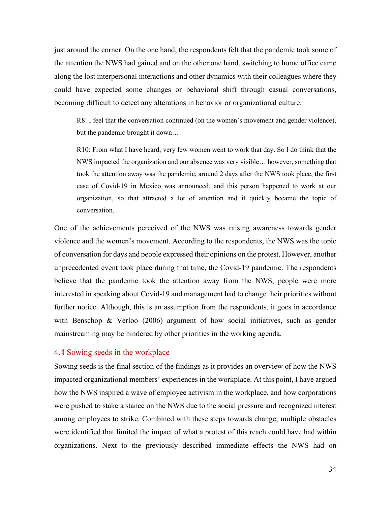just around the corner. On the one hand, the respondents felt that the pandemic took some of the attention the NWS had gained and on the other one hand, switching to home office came along the lost interpersonal interactions and other dynamics with their colleagues where they could have expected some changes or behavioral shift through casual conversations, becoming difficult to detect any alterations in behavior or organizational culture.

R8: I feel that the conversation continued (on the women's movement and gender violence), but the pandemic brought it down…

R10: From what I have heard, very few women went to work that day. So I do think that the NWS impacted the organization and our absence was very visible… however, something that took the attention away was the pandemic, around 2 days after the NWS took place, the first case of Covid-19 in Mexico was announced, and this person happened to work at our organization, so that attracted a lot of attention and it quickly became the topic of conversation.

One of the achievements perceived of the NWS was raising awareness towards gender violence and the women's movement. According to the respondents, the NWS was the topic of conversation for days and people expressed their opinions on the protest. However, another unprecedented event took place during that time, the Covid-19 pandemic. The respondents believe that the pandemic took the attention away from the NWS, people were more interested in speaking about Covid-19 and management had to change their priorities without further notice. Although, this is an assumption from the respondents, it goes in accordance with Benschop & Verloo (2006) argument of how social initiatives, such as gender mainstreaming may be hindered by other priorities in the working agenda.

#### <span id="page-37-0"></span>4.4 Sowing seeds in the workplace

Sowing seeds is the final section of the findings as it provides an overview of how the NWS impacted organizational members' experiences in the workplace. At this point, I have argued how the NWS inspired a wave of employee activism in the workplace, and how corporations were pushed to stake a stance on the NWS due to the social pressure and recognized interest among employees to strike. Combined with these steps towards change, multiple obstacles were identified that limited the impact of what a protest of this reach could have had within organizations. Next to the previously described immediate effects the NWS had on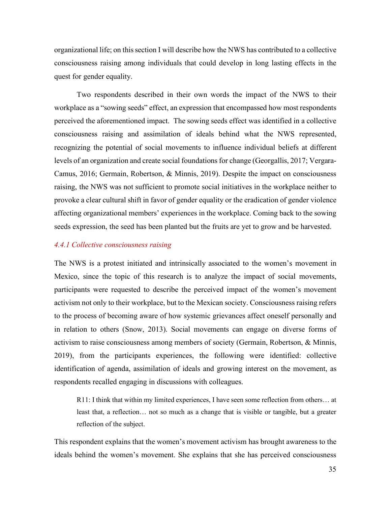organizational life; on this section I will describe how the NWS has contributed to a collective consciousness raising among individuals that could develop in long lasting effects in the quest for gender equality.

Two respondents described in their own words the impact of the NWS to their workplace as a "sowing seeds" effect, an expression that encompassed how most respondents perceived the aforementioned impact. The sowing seeds effect was identified in a collective consciousness raising and assimilation of ideals behind what the NWS represented, recognizing the potential of social movements to influence individual beliefs at different levels of an organization and create social foundations for change (Georgallis, 2017; Vergara-Camus, 2016; Germain, Robertson, & Minnis, 2019). Despite the impact on consciousness raising, the NWS was not sufficient to promote social initiatives in the workplace neither to provoke a clear cultural shift in favor of gender equality or the eradication of gender violence affecting organizational members' experiences in the workplace. Coming back to the sowing seeds expression, the seed has been planted but the fruits are yet to grow and be harvested.

#### *4.4.1 Collective consciousness raising*

The NWS is a protest initiated and intrinsically associated to the women's movement in Mexico, since the topic of this research is to analyze the impact of social movements, participants were requested to describe the perceived impact of the women's movement activism not only to their workplace, but to the Mexican society. Consciousness raising refers to the process of becoming aware of how systemic grievances affect oneself personally and in relation to others (Snow, 2013). Social movements can engage on diverse forms of activism to raise consciousness among members of society (Germain, Robertson, & Minnis, 2019), from the participants experiences, the following were identified: collective identification of agenda, assimilation of ideals and growing interest on the movement, as respondents recalled engaging in discussions with colleagues.

R11: I think that within my limited experiences, I have seen some reflection from others… at least that, a reflection… not so much as a change that is visible or tangible, but a greater reflection of the subject.

This respondent explains that the women's movement activism has brought awareness to the ideals behind the women's movement. She explains that she has perceived consciousness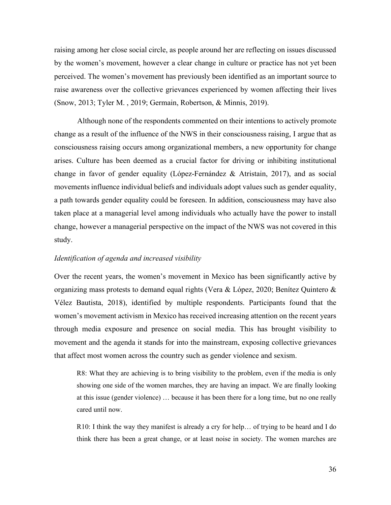raising among her close social circle, as people around her are reflecting on issues discussed by the women's movement, however a clear change in culture or practice has not yet been perceived. The women's movement has previously been identified as an important source to raise awareness over the collective grievances experienced by women affecting their lives (Snow, 2013; Tyler M. , 2019; Germain, Robertson, & Minnis, 2019).

Although none of the respondents commented on their intentions to actively promote change as a result of the influence of the NWS in their consciousness raising, I argue that as consciousness raising occurs among organizational members, a new opportunity for change arises. Culture has been deemed as a crucial factor for driving or inhibiting institutional change in favor of gender equality (López-Fernández & Atristain, 2017), and as social movements influence individual beliefs and individuals adopt values such as gender equality, a path towards gender equality could be foreseen. In addition, consciousness may have also taken place at a managerial level among individuals who actually have the power to install change, however a managerial perspective on the impact of the NWS was not covered in this study.

#### *Identification of agenda and increased visibility*

Over the recent years, the women's movement in Mexico has been significantly active by organizing mass protests to demand equal rights (Vera & López, 2020; Benítez Quintero & Vélez Bautista, 2018), identified by multiple respondents. Participants found that the women's movement activism in Mexico has received increasing attention on the recent years through media exposure and presence on social media. This has brought visibility to movement and the agenda it stands for into the mainstream, exposing collective grievances that affect most women across the country such as gender violence and sexism.

R8: What they are achieving is to bring visibility to the problem, even if the media is only showing one side of the women marches, they are having an impact. We are finally looking at this issue (gender violence) … because it has been there for a long time, but no one really cared until now.

R10: I think the way they manifest is already a cry for help… of trying to be heard and I do think there has been a great change, or at least noise in society. The women marches are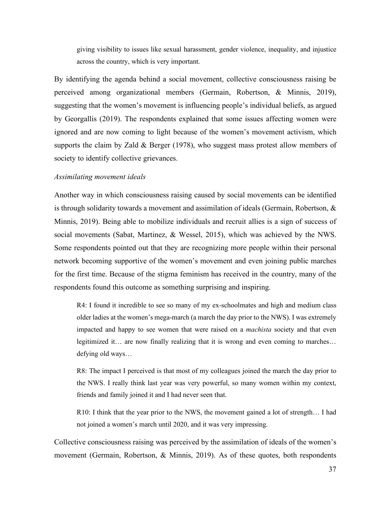giving visibility to issues like sexual harassment, gender violence, inequality, and injustice across the country, which is very important.

By identifying the agenda behind a social movement, collective consciousness raising be perceived among organizational members (Germain, Robertson, & Minnis, 2019), suggesting that the women's movement is influencing people's individual beliefs, as argued by Georgallis (2019). The respondents explained that some issues affecting women were ignored and are now coming to light because of the women's movement activism, which supports the claim by Zald & Berger (1978), who suggest mass protest allow members of society to identify collective grievances.

#### *Assimilating movement ideals*

Another way in which consciousness raising caused by social movements can be identified is through solidarity towards a movement and assimilation of ideals (Germain, Robertson, & Minnis, 2019). Being able to mobilize individuals and recruit allies is a sign of success of social movements (Sabat, Martinez, & Wessel, 2015), which was achieved by the NWS. Some respondents pointed out that they are recognizing more people within their personal network becoming supportive of the women's movement and even joining public marches for the first time. Because of the stigma feminism has received in the country, many of the respondents found this outcome as something surprising and inspiring.

R4: I found it incredible to see so many of my ex-schoolmates and high and medium class older ladies at the women's mega-march (a march the day prior to the NWS). I was extremely impacted and happy to see women that were raised on a *machista* society and that even legitimized it… are now finally realizing that it is wrong and even coming to marches… defying old ways…

R8: The impact I perceived is that most of my colleagues joined the march the day prior to the NWS. I really think last year was very powerful, so many women within my context, friends and family joined it and I had never seen that.

R10: I think that the year prior to the NWS, the movement gained a lot of strength… I had not joined a women's march until 2020, and it was very impressing.

Collective consciousness raising was perceived by the assimilation of ideals of the women's movement (Germain, Robertson, & Minnis, 2019). As of these quotes, both respondents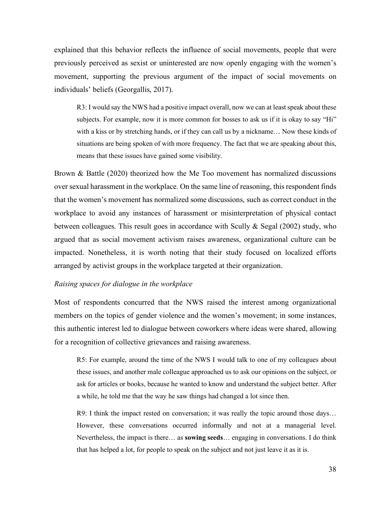explained that this behavior reflects the influence of social movements, people that were previously perceived as sexist or uninterested are now openly engaging with the women's movement, supporting the previous argument of the impact of social movements on individuals' beliefs (Georgallis, 2017).

R3: I would say the NWS had a positive impact overall, now we can at least speak about these subjects. For example, now it is more common for bosses to ask us if it is okay to say "Hi" with a kiss or by stretching hands, or if they can call us by a nickname… Now these kinds of situations are being spoken of with more frequency. The fact that we are speaking about this, means that these issues have gained some visibility.

Brown & Battle (2020) theorized how the Me Too movement has normalized discussions over sexual harassment in the workplace. On the same line of reasoning, this respondent finds that the women's movement has normalized some discussions, such as correct conduct in the workplace to avoid any instances of harassment or misinterpretation of physical contact between colleagues. This result goes in accordance with Scully & Segal (2002) study, who argued that as social movement activism raises awareness, organizational culture can be impacted. Nonetheless, it is worth noting that their study focused on localized efforts arranged by activist groups in the workplace targeted at their organization.

#### *Raising spaces for dialogue in the workplace*

Most of respondents concurred that the NWS raised the interest among organizational members on the topics of gender violence and the women's movement; in some instances, this authentic interest led to dialogue between coworkers where ideas were shared, allowing for a recognition of collective grievances and raising awareness.

R5: For example, around the time of the NWS I would talk to one of my colleagues about these issues, and another male colleague approached us to ask our opinions on the subject, or ask for articles or books, because he wanted to know and understand the subject better. After a while, he told me that the way he saw things had changed a lot since then.

R9: I think the impact rested on conversation; it was really the topic around those days… However, these conversations occurred informally and not at a managerial level. Nevertheless, the impact is there… as **sowing seeds**… engaging in conversations. I do think that has helped a lot, for people to speak on the subject and not just leave it as it is.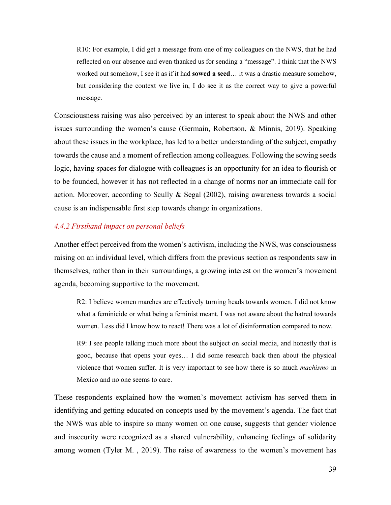R10: For example, I did get a message from one of my colleagues on the NWS, that he had reflected on our absence and even thanked us for sending a "message". I think that the NWS worked out somehow, I see it as if it had **sowed a seed**… it was a drastic measure somehow, but considering the context we live in, I do see it as the correct way to give a powerful message.

Consciousness raising was also perceived by an interest to speak about the NWS and other issues surrounding the women's cause (Germain, Robertson, & Minnis, 2019). Speaking about these issues in the workplace, has led to a better understanding of the subject, empathy towards the cause and a moment of reflection among colleagues. Following the sowing seeds logic, having spaces for dialogue with colleagues is an opportunity for an idea to flourish or to be founded, however it has not reflected in a change of norms nor an immediate call for action. Moreover, according to Scully & Segal (2002), raising awareness towards a social cause is an indispensable first step towards change in organizations.

#### *4.4.2 Firsthand impact on personal beliefs*

Another effect perceived from the women's activism, including the NWS, was consciousness raising on an individual level, which differs from the previous section as respondents saw in themselves, rather than in their surroundings, a growing interest on the women's movement agenda, becoming supportive to the movement.

R2: I believe women marches are effectively turning heads towards women. I did not know what a feminicide or what being a feminist meant. I was not aware about the hatred towards women. Less did I know how to react! There was a lot of disinformation compared to now.

R9: I see people talking much more about the subject on social media, and honestly that is good, because that opens your eyes… I did some research back then about the physical violence that women suffer. It is very important to see how there is so much *machismo* in Mexico and no one seems to care.

These respondents explained how the women's movement activism has served them in identifying and getting educated on concepts used by the movement's agenda. The fact that the NWS was able to inspire so many women on one cause, suggests that gender violence and insecurity were recognized as a shared vulnerability, enhancing feelings of solidarity among women (Tyler M. , 2019). The raise of awareness to the women's movement has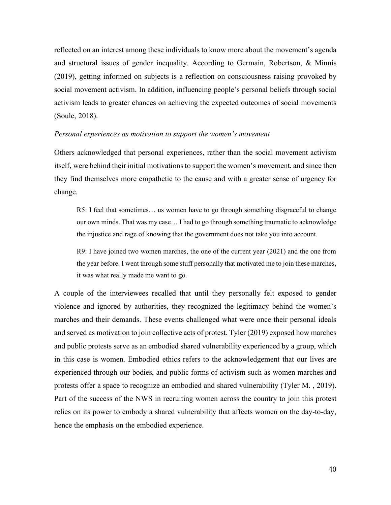reflected on an interest among these individuals to know more about the movement's agenda and structural issues of gender inequality. According to Germain, Robertson, & Minnis (2019), getting informed on subjects is a reflection on consciousness raising provoked by social movement activism. In addition, influencing people's personal beliefs through social activism leads to greater chances on achieving the expected outcomes of social movements (Soule, 2018).

#### *Personal experiences as motivation to support the women's movement*

Others acknowledged that personal experiences, rather than the social movement activism itself, were behind their initial motivations to support the women's movement, and since then they find themselves more empathetic to the cause and with a greater sense of urgency for change.

R5: I feel that sometimes… us women have to go through something disgraceful to change our own minds. That was my case… I had to go through something traumatic to acknowledge the injustice and rage of knowing that the government does not take you into account.

R9: I have joined two women marches, the one of the current year (2021) and the one from the year before. I went through some stuff personally that motivated me to join these marches, it was what really made me want to go.

A couple of the interviewees recalled that until they personally felt exposed to gender violence and ignored by authorities, they recognized the legitimacy behind the women's marches and their demands. These events challenged what were once their personal ideals and served as motivation to join collective acts of protest. Tyler (2019) exposed how marches and public protests serve as an embodied shared vulnerability experienced by a group, which in this case is women. Embodied ethics refers to the acknowledgement that our lives are experienced through our bodies, and public forms of activism such as women marches and protests offer a space to recognize an embodied and shared vulnerability (Tyler M. , 2019). Part of the success of the NWS in recruiting women across the country to join this protest relies on its power to embody a shared vulnerability that affects women on the day-to-day, hence the emphasis on the embodied experience.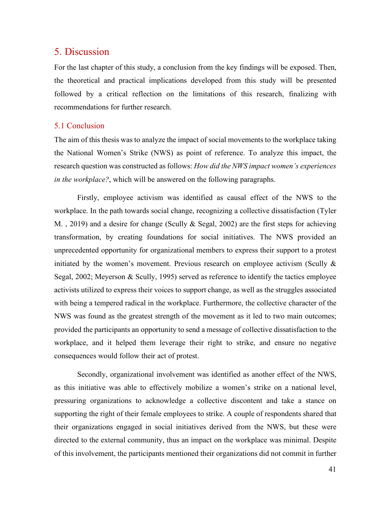## <span id="page-44-0"></span>5. Discussion

For the last chapter of this study, a conclusion from the key findings will be exposed. Then, the theoretical and practical implications developed from this study will be presented followed by a critical reflection on the limitations of this research, finalizing with recommendations for further research.

#### <span id="page-44-1"></span>5.1 Conclusion

The aim of this thesis was to analyze the impact of social movements to the workplace taking the National Women's Strike (NWS) as point of reference. To analyze this impact, the research question was constructed as follows: *How did the NWS impact women's experiences in the workplace?*, which will be answered on the following paragraphs.

Firstly, employee activism was identified as causal effect of the NWS to the workplace. In the path towards social change, recognizing a collective dissatisfaction (Tyler M. , 2019) and a desire for change (Scully & Segal, 2002) are the first steps for achieving transformation, by creating foundations for social initiatives. The NWS provided an unprecedented opportunity for organizational members to express their support to a protest initiated by the women's movement. Previous research on employee activism (Scully & Segal, 2002; Meyerson & Scully, 1995) served as reference to identify the tactics employee activists utilized to express their voices to support change, as well as the struggles associated with being a tempered radical in the workplace. Furthermore, the collective character of the NWS was found as the greatest strength of the movement as it led to two main outcomes; provided the participants an opportunity to send a message of collective dissatisfaction to the workplace, and it helped them leverage their right to strike, and ensure no negative consequences would follow their act of protest.

Secondly, organizational involvement was identified as another effect of the NWS, as this initiative was able to effectively mobilize a women's strike on a national level, pressuring organizations to acknowledge a collective discontent and take a stance on supporting the right of their female employees to strike. A couple of respondents shared that their organizations engaged in social initiatives derived from the NWS, but these were directed to the external community, thus an impact on the workplace was minimal. Despite of this involvement, the participants mentioned their organizations did not commit in further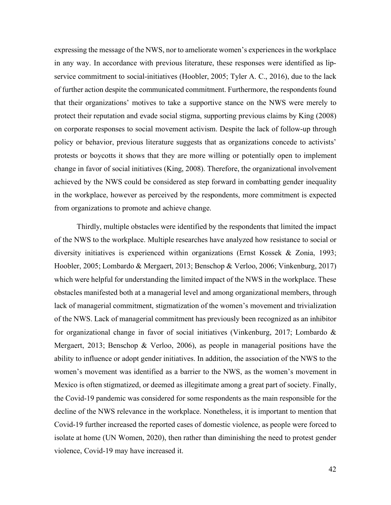expressing the message of the NWS, nor to ameliorate women's experiences in the workplace in any way. In accordance with previous literature, these responses were identified as lipservice commitment to social-initiatives (Hoobler, 2005; Tyler A. C., 2016), due to the lack of further action despite the communicated commitment. Furthermore, the respondents found that their organizations' motives to take a supportive stance on the NWS were merely to protect their reputation and evade social stigma, supporting previous claims by King (2008) on corporate responses to social movement activism. Despite the lack of follow-up through policy or behavior, previous literature suggests that as organizations concede to activists' protests or boycotts it shows that they are more willing or potentially open to implement change in favor of social initiatives (King, 2008). Therefore, the organizational involvement achieved by the NWS could be considered as step forward in combatting gender inequality in the workplace, however as perceived by the respondents, more commitment is expected from organizations to promote and achieve change.

Thirdly, multiple obstacles were identified by the respondents that limited the impact of the NWS to the workplace. Multiple researches have analyzed how resistance to social or diversity initiatives is experienced within organizations (Ernst Kossek & Zonia, 1993; Hoobler, 2005; Lombardo & Mergaert, 2013; Benschop & Verloo, 2006; Vinkenburg, 2017) which were helpful for understanding the limited impact of the NWS in the workplace. These obstacles manifested both at a managerial level and among organizational members, through lack of managerial commitment, stigmatization of the women's movement and trivialization of the NWS. Lack of managerial commitment has previously been recognized as an inhibitor for organizational change in favor of social initiatives (Vinkenburg, 2017; Lombardo & Mergaert, 2013; Benschop & Verloo, 2006), as people in managerial positions have the ability to influence or adopt gender initiatives. In addition, the association of the NWS to the women's movement was identified as a barrier to the NWS, as the women's movement in Mexico is often stigmatized, or deemed as illegitimate among a great part of society. Finally, the Covid-19 pandemic was considered for some respondents as the main responsible for the decline of the NWS relevance in the workplace. Nonetheless, it is important to mention that Covid-19 further increased the reported cases of domestic violence, as people were forced to isolate at home (UN Women, 2020), then rather than diminishing the need to protest gender violence, Covid-19 may have increased it.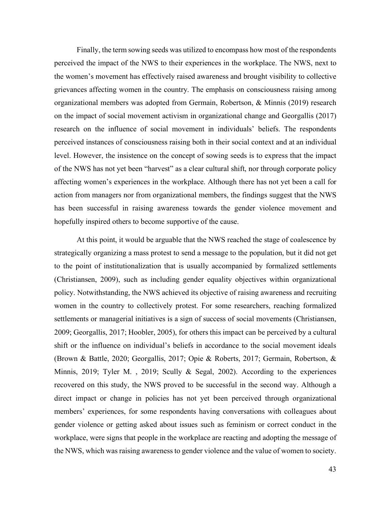Finally, the term sowing seeds was utilized to encompass how most of the respondents perceived the impact of the NWS to their experiences in the workplace. The NWS, next to the women's movement has effectively raised awareness and brought visibility to collective grievances affecting women in the country. The emphasis on consciousness raising among organizational members was adopted from Germain, Robertson, & Minnis (2019) research on the impact of social movement activism in organizational change and Georgallis (2017) research on the influence of social movement in individuals' beliefs. The respondents perceived instances of consciousness raising both in their social context and at an individual level. However, the insistence on the concept of sowing seeds is to express that the impact of the NWS has not yet been "harvest" as a clear cultural shift, nor through corporate policy affecting women's experiences in the workplace. Although there has not yet been a call for action from managers nor from organizational members, the findings suggest that the NWS has been successful in raising awareness towards the gender violence movement and hopefully inspired others to become supportive of the cause.

At this point, it would be arguable that the NWS reached the stage of coalescence by strategically organizing a mass protest to send a message to the population, but it did not get to the point of institutionalization that is usually accompanied by formalized settlements (Christiansen, 2009), such as including gender equality objectives within organizational policy. Notwithstanding, the NWS achieved its objective of raising awareness and recruiting women in the country to collectively protest. For some researchers, reaching formalized settlements or managerial initiatives is a sign of success of social movements (Christiansen, 2009; Georgallis, 2017; Hoobler, 2005), for others this impact can be perceived by a cultural shift or the influence on individual's beliefs in accordance to the social movement ideals (Brown & Battle, 2020; Georgallis, 2017; Opie & Roberts, 2017; Germain, Robertson, & Minnis, 2019; Tyler M. , 2019; Scully & Segal, 2002). According to the experiences recovered on this study, the NWS proved to be successful in the second way. Although a direct impact or change in policies has not yet been perceived through organizational members' experiences, for some respondents having conversations with colleagues about gender violence or getting asked about issues such as feminism or correct conduct in the workplace, were signs that people in the workplace are reacting and adopting the message of the NWS, which was raising awareness to gender violence and the value of women to society.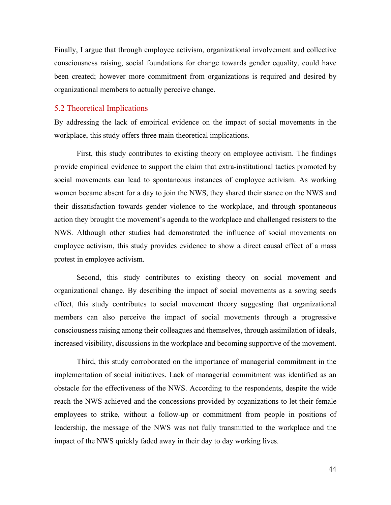Finally, I argue that through employee activism, organizational involvement and collective consciousness raising, social foundations for change towards gender equality, could have been created; however more commitment from organizations is required and desired by organizational members to actually perceive change.

#### <span id="page-47-0"></span>5.2 Theoretical Implications

By addressing the lack of empirical evidence on the impact of social movements in the workplace, this study offers three main theoretical implications.

First, this study contributes to existing theory on employee activism. The findings provide empirical evidence to support the claim that extra-institutional tactics promoted by social movements can lead to spontaneous instances of employee activism. As working women became absent for a day to join the NWS, they shared their stance on the NWS and their dissatisfaction towards gender violence to the workplace, and through spontaneous action they brought the movement's agenda to the workplace and challenged resisters to the NWS. Although other studies had demonstrated the influence of social movements on employee activism, this study provides evidence to show a direct causal effect of a mass protest in employee activism.

Second, this study contributes to existing theory on social movement and organizational change. By describing the impact of social movements as a sowing seeds effect, this study contributes to social movement theory suggesting that organizational members can also perceive the impact of social movements through a progressive consciousness raising among their colleagues and themselves, through assimilation of ideals, increased visibility, discussions in the workplace and becoming supportive of the movement.

Third, this study corroborated on the importance of managerial commitment in the implementation of social initiatives. Lack of managerial commitment was identified as an obstacle for the effectiveness of the NWS. According to the respondents, despite the wide reach the NWS achieved and the concessions provided by organizations to let their female employees to strike, without a follow-up or commitment from people in positions of leadership, the message of the NWS was not fully transmitted to the workplace and the impact of the NWS quickly faded away in their day to day working lives.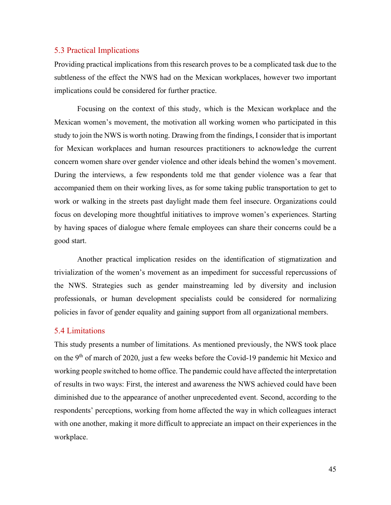#### <span id="page-48-0"></span>5.3 Practical Implications

Providing practical implications from this research proves to be a complicated task due to the subtleness of the effect the NWS had on the Mexican workplaces, however two important implications could be considered for further practice.

Focusing on the context of this study, which is the Mexican workplace and the Mexican women's movement, the motivation all working women who participated in this study to join the NWS is worth noting. Drawing from the findings, I consider that is important for Mexican workplaces and human resources practitioners to acknowledge the current concern women share over gender violence and other ideals behind the women's movement. During the interviews, a few respondents told me that gender violence was a fear that accompanied them on their working lives, as for some taking public transportation to get to work or walking in the streets past daylight made them feel insecure. Organizations could focus on developing more thoughtful initiatives to improve women's experiences. Starting by having spaces of dialogue where female employees can share their concerns could be a good start.

Another practical implication resides on the identification of stigmatization and trivialization of the women's movement as an impediment for successful repercussions of the NWS. Strategies such as gender mainstreaming led by diversity and inclusion professionals, or human development specialists could be considered for normalizing policies in favor of gender equality and gaining support from all organizational members.

#### <span id="page-48-1"></span>5.4 Limitations

This study presents a number of limitations. As mentioned previously, the NWS took place on the 9<sup>th</sup> of march of 2020, just a few weeks before the Covid-19 pandemic hit Mexico and working people switched to home office. The pandemic could have affected the interpretation of results in two ways: First, the interest and awareness the NWS achieved could have been diminished due to the appearance of another unprecedented event. Second, according to the respondents' perceptions, working from home affected the way in which colleagues interact with one another, making it more difficult to appreciate an impact on their experiences in the workplace.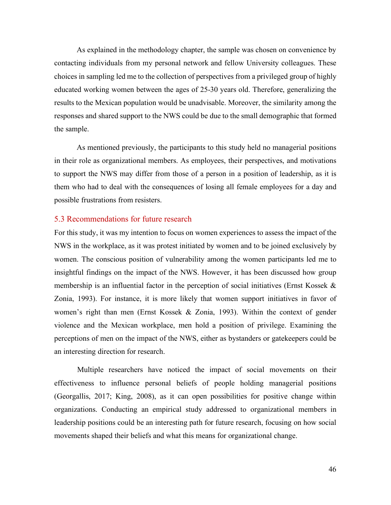As explained in the methodology chapter, the sample was chosen on convenience by contacting individuals from my personal network and fellow University colleagues. These choices in sampling led me to the collection of perspectives from a privileged group of highly educated working women between the ages of 25-30 years old. Therefore, generalizing the results to the Mexican population would be unadvisable. Moreover, the similarity among the responses and shared support to the NWS could be due to the small demographic that formed the sample.

As mentioned previously, the participants to this study held no managerial positions in their role as organizational members. As employees, their perspectives, and motivations to support the NWS may differ from those of a person in a position of leadership, as it is them who had to deal with the consequences of losing all female employees for a day and possible frustrations from resisters.

#### <span id="page-49-0"></span>5.3 Recommendations for future research

For this study, it was my intention to focus on women experiences to assess the impact of the NWS in the workplace, as it was protest initiated by women and to be joined exclusively by women. The conscious position of vulnerability among the women participants led me to insightful findings on the impact of the NWS. However, it has been discussed how group membership is an influential factor in the perception of social initiatives (Ernst Kossek & Zonia, 1993). For instance, it is more likely that women support initiatives in favor of women's right than men (Ernst Kossek & Zonia, 1993). Within the context of gender violence and the Mexican workplace, men hold a position of privilege. Examining the perceptions of men on the impact of the NWS, either as bystanders or gatekeepers could be an interesting direction for research.

Multiple researchers have noticed the impact of social movements on their effectiveness to influence personal beliefs of people holding managerial positions (Georgallis, 2017; King, 2008), as it can open possibilities for positive change within organizations. Conducting an empirical study addressed to organizational members in leadership positions could be an interesting path for future research, focusing on how social movements shaped their beliefs and what this means for organizational change.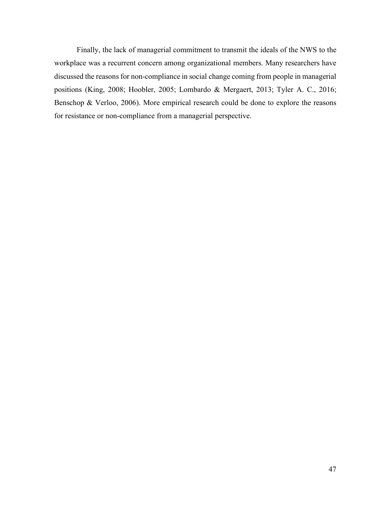Finally, the lack of managerial commitment to transmit the ideals of the NWS to the workplace was a recurrent concern among organizational members. Many researchers have discussed the reasons for non-compliance in social change coming from people in managerial positions (King, 2008; Hoobler, 2005; Lombardo & Mergaert, 2013; Tyler A. C., 2016; Benschop & Verloo, 2006). More empirical research could be done to explore the reasons for resistance or non-compliance from a managerial perspective.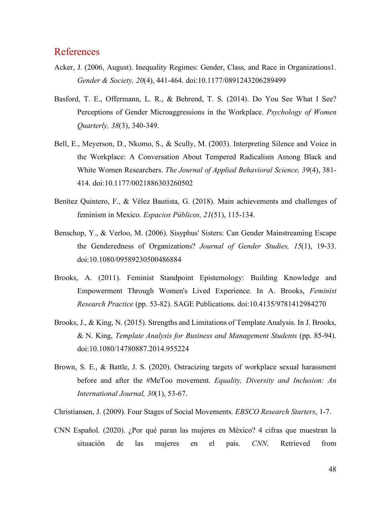## <span id="page-51-0"></span>References

- Acker, J. (2006, August). Inequality Regimes: Gender, Class, and Race in Organizations1. *Gender & Society, 20*(4), 441-464. doi:10.1177/0891243206289499
- Basford, T. E., Offermann, L. R., & Behrend, T. S. (2014). Do You See What I See? Perceptions of Gender Microaggressions in the Workplace. *Psychology of Women Quarterly, 38*(3), 340-349.
- Bell, E., Meyerson, D., Nkomo, S., & Scully, M. (2003). Interpreting Silence and Voice in the Workplace: A Conversation About Tempered Radicalism Among Black and White Women Researchers. *The Journal of Applied Behavioral Science, 39*(4), 381- 414. doi:10.1177/0021886303260502
- Benítez Quintero, F., & Vélez Bautista, G. (2018). Main achievements and challenges of feminism in Mexico. *Espacios Públicos, 21*(51), 115-134.
- Benschop, Y., & Verloo, M. (2006). Sisyphus' Sisters: Can Gender Mainstreaming Escape the Genderedness of Organizations? *Journal of Gender Studies, 15*(1), 19-33. doi:10.1080/09589230500486884
- Brooks, A. (2011). Feminist Standpoint Epistemology: Building Knowledge and Empowerment Through Women's Lived Experience. In A. Brooks, *Feminist Research Practice* (pp. 53-82). SAGE Publications. doi:10.4135/9781412984270
- Brooks, J., & King, N. (2015). Strengths and Limitations of Template Analysis. In J. Brooks, & N. King, *Template Analysis for Business and Management Students* (pp. 85-94). doi:10.1080/14780887.2014.955224
- Brown, S. E., & Battle, J. S. (2020). Ostracizing targets of workplace sexual harassment before and after the #MeToo movement. *Equality, Diversity and Inclusion: An International Journal, 30*(1), 53-67.
- Christiansen, J. (2009). Four Stages of Social Movements. *EBSCO Research Starters*, 1-7.
- CNN Español. (2020). ¿Por qué paran las mujeres en México? 4 cifras que muestran la situación de las mujeres en el país. *CNN*. Retrieved from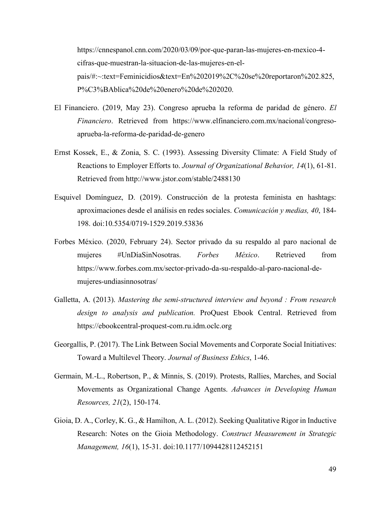https://cnnespanol.cnn.com/2020/03/09/por-que-paran-las-mujeres-en-mexico-4 cifras-que-muestran-la-situacion-de-las-mujeres-en-elpais/#:~:text=Feminicidios&text=En%202019%2C%20se%20reportaron%202.825, P%C3%BAblica%20de%20enero%20de%202020.

- El Financiero. (2019, May 23). Congreso aprueba la reforma de paridad de género. *El Financiero*. Retrieved from https://www.elfinanciero.com.mx/nacional/congresoaprueba-la-reforma-de-paridad-de-genero
- Ernst Kossek, E., & Zonia, S. C. (1993). Assessing Diversity Climate: A Field Study of Reactions to Employer Efforts to. *Journal of Organizational Behavior, 14*(1), 61-81. Retrieved from http://www.jstor.com/stable/2488130
- Esquivel Domínguez, D. (2019). Construcción de la protesta feminista en hashtags: aproximaciones desde el análisis en redes sociales. *Comunicación y medias, 40*, 184- 198. doi:10.5354/0719-1529.2019.53836
- Forbes México. (2020, February 24). Sector privado da su respaldo al paro nacional de mujeres #UnDíaSinNosotras. *Forbes México*. Retrieved from https://www.forbes.com.mx/sector-privado-da-su-respaldo-al-paro-nacional-demujeres-undiasinnosotras/
- Galletta, A. (2013). *Mastering the semi-structured interview and beyond : From research design to analysis and publication.* ProQuest Ebook Central. Retrieved from https://ebookcentral-proquest-com.ru.idm.oclc.org
- Georgallis, P. (2017). The Link Between Social Movements and Corporate Social Initiatives: Toward a Multilevel Theory. *Journal of Business Ethics*, 1-46.
- Germain, M.-L., Robertson, P., & Minnis, S. (2019). Protests, Rallies, Marches, and Social Movements as Organizational Change Agents. *Advances in Developing Human Resources, 21*(2), 150-174.
- Gioia, D. A., Corley, K. G., & Hamilton, A. L. (2012). Seeking Qualitative Rigor in Inductive Research: Notes on the Gioia Methodology. *Construct Measurement in Strategic Management, 16*(1), 15-31. doi:10.1177/1094428112452151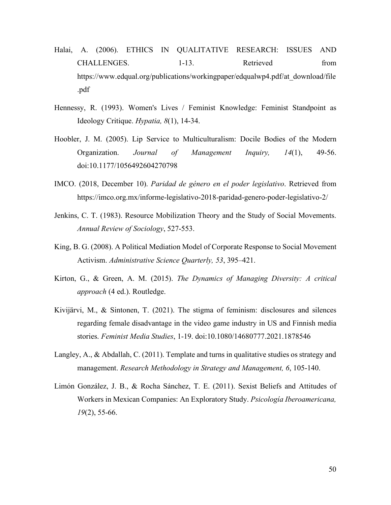- Halai, A. (2006). ETHICS IN QUALITATIVE RESEARCH: ISSUES AND CHALLENGES. 1-13. Retrieved from https://www.edqual.org/publications/workingpaper/edqualwp4.pdf/at\_download/file .pdf
- Hennessy, R. (1993). Women's Lives / Feminist Knowledge: Feminist Standpoint as Ideology Critique. *Hypatia, 8*(1), 14-34.
- Hoobler, J. M. (2005). Lip Service to Multiculturalism: Docile Bodies of the Modern Organization. *Journal of Management Inquiry, 14*(1), 49-56. doi:10.1177/1056492604270798
- IMCO. (2018, December 10). *Paridad de género en el poder legislativo*. Retrieved from https://imco.org.mx/informe-legislativo-2018-paridad-genero-poder-legislativo-2/
- Jenkins, C. T. (1983). Resource Mobilization Theory and the Study of Social Movements. *Annual Review of Sociology*, 527-553.
- King, B. G. (2008). A Political Mediation Model of Corporate Response to Social Movement Activism. *Administrative Science Quarterly, 53*, 395–421.
- Kirton, G., & Green, A. M. (2015). *The Dynamics of Managing Diversity: A critical approach* (4 ed.). Routledge.
- Kivijärvi, M., & Sintonen, T. (2021). The stigma of feminism: disclosures and silences regarding female disadvantage in the video game industry in US and Finnish media stories. *Feminist Media Studies*, 1-19. doi:10.1080/14680777.2021.1878546
- Langley, A., & Abdallah, C. (2011). Template and turns in qualitative studies os strategy and management. *Research Methodology in Strategy and Management, 6*, 105-140.
- Limón González, J. B., & Rocha Sánchez, T. E. (2011). Sexist Beliefs and Attitudes of Workers in Mexican Companies: An Exploratory Study. *Psicología Iberoamericana, 19*(2), 55-66.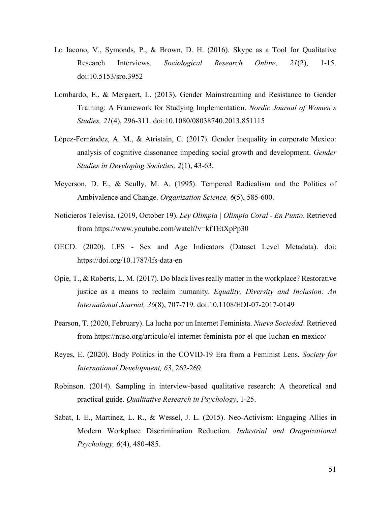- Lo Iacono, V., Symonds, P., & Brown, D. H. (2016). Skype as a Tool for Qualitative Research Interviews. *Sociological Research Online, 21*(2), 1-15. doi:10.5153/sro.3952
- Lombardo, E., & Mergaert, L. (2013). Gender Mainstreaming and Resistance to Gender Training: A Framework for Studying Implementation. *Nordic Journal of Women s Studies, 21*(4), 296-311. doi:10.1080/08038740.2013.851115
- López-Fernández, A. M., & Atristain, C. (2017). Gender inequality in corporate Mexico: analysis of cognitive dissonance impeding social growth and development. *Gender Studies in Developing Societies, 2*(1), 43-63.
- Meyerson, D. E., & Scully, M. A. (1995). Tempered Radicalism and the Politics of Ambivalence and Change. *Organization Science, 6*(5), 585-600.
- Noticieros Televisa. (2019, October 19). *Ley Olimpia | Olimpia Coral - En Punto*. Retrieved from https://www.youtube.com/watch?v=kfTEtXpPp30
- OECD. (2020). LFS Sex and Age Indicators (Dataset Level Metadata). doi: https://doi.org/10.1787/lfs-data-en
- Opie, T., & Roberts, L. M. (2017). Do black lives really matter in the workplace? Restorative justice as a means to reclaim humanity. *Equality, Diversity and Inclusion: An International Journal, 36*(8), 707-719. doi:10.1108/EDI-07-2017-0149
- Pearson, T. (2020, February). La lucha por un Internet Feminista. *Nueva Sociedad*. Retrieved from https://nuso.org/articulo/el-internet-feminista-por-el-que-luchan-en-mexico/
- Reyes, E. (2020). Body Politics in the COVID-19 Era from a Feminist Lens. *Society for International Development, 63*, 262-269.
- Robinson. (2014). Sampling in interview-based qualitative research: A theoretical and practical guide. *Qualitative Research in Psychology*, 1-25.
- Sabat, I. E., Martinez, L. R., & Wessel, J. L. (2015). Neo-Activism: Engaging Allies in Modern Workplace Discrimination Reduction. *Industrial and Oragnizational Psychology, 6*(4), 480-485.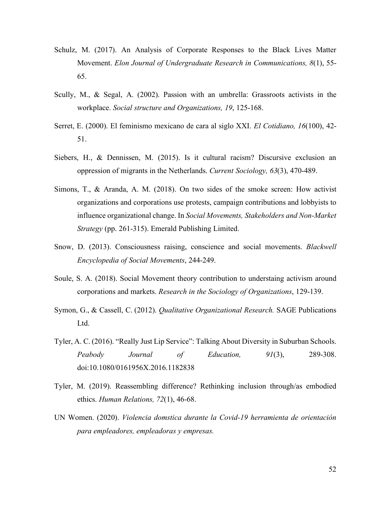- Schulz, M. (2017). An Analysis of Corporate Responses to the Black Lives Matter Movement. *Elon Journal of Undergraduate Research in Communications, 8*(1), 55- 65.
- Scully, M., & Segal, A. (2002). Passion with an umbrella: Grassroots activists in the workplace. *Social structure and Organizations, 19*, 125-168.
- Serret, E. (2000). El feminismo mexicano de cara al siglo XXI. *El Cotidiano, 16*(100), 42- 51.
- Siebers, H., & Dennissen, M. (2015). Is it cultural racism? Discursive exclusion an oppression of migrants in the Netherlands. *Current Sociology, 63*(3), 470-489.
- Simons, T., & Aranda, A. M. (2018). On two sides of the smoke screen: How activist organizations and corporations use protests, campaign contributions and lobbyists to influence organizational change. In *Social Movements, Stakeholders and Non-Market Strategy* (pp. 261-315). Emerald Publishing Limited.
- Snow, D. (2013). Consciousness raising, conscience and social movements. *Blackwell Encyclopedia of Social Movements*, 244-249.
- Soule, S. A. (2018). Social Movement theory contribution to understaing activism around corporations and markets. *Research in the Sociology of Organizations*, 129-139.
- Symon, G., & Cassell, C. (2012). *Qualitative Organizational Research.* SAGE Publications Ltd.
- Tyler, A. C. (2016). "Really Just Lip Service": Talking About Diversity in Suburban Schools. *Peabody Journal of Education, 91*(3), 289-308. doi:10.1080/0161956X.2016.1182838
- Tyler, M. (2019). Reassembling difference? Rethinking inclusion through/as embodied ethics. *Human Relations, 72*(1), 46-68.
- UN Women. (2020). *Violencia domstica durante la Covid-19 herramienta de orientación para empleadores, empleadoras y empresas.*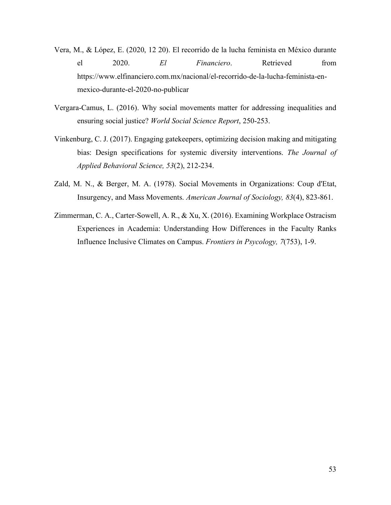- Vera, M., & López, E. (2020, 12 20). El recorrido de la lucha feminista en México durante el 2020. *El Financiero*. Retrieved from https://www.elfinanciero.com.mx/nacional/el-recorrido-de-la-lucha-feminista-enmexico-durante-el-2020-no-publicar
- Vergara-Camus, L. (2016). Why social movements matter for addressing inequalities and ensuring social justice? *World Social Science Report*, 250-253.
- Vinkenburg, C. J. (2017). Engaging gatekeepers, optimizing decision making and mitigating bias: Design specifications for systemic diversity interventions. *The Journal of Applied Behavioral Science, 53*(2), 212-234.
- Zald, M. N., & Berger, M. A. (1978). Social Movements in Organizations: Coup d'Etat, Insurgency, and Mass Movements. *American Journal of Sociology, 83*(4), 823-861.
- Zimmerman, C. A., Carter-Sowell, A. R., & Xu, X. (2016). Examining Workplace Ostracism Experiences in Academia: Understanding How Differences in the Faculty Ranks Influence Inclusive Climates on Campus. *Frontiers in Psycology, 7*(753), 1-9.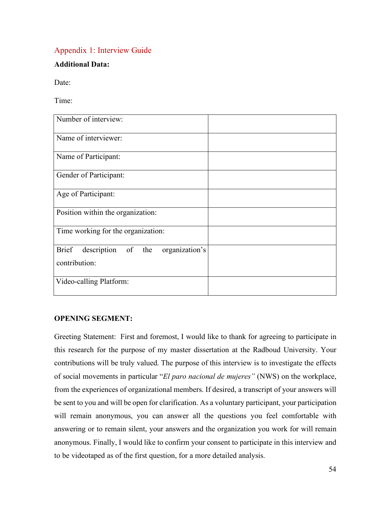## <span id="page-57-0"></span>Appendix 1: Interview Guide

### **Additional Data:**

Date:

Time:

| Number of interview:                                 |  |
|------------------------------------------------------|--|
| Name of interviewer:                                 |  |
| Name of Participant:                                 |  |
| Gender of Participant:                               |  |
| Age of Participant:                                  |  |
| Position within the organization:                    |  |
| Time working for the organization:                   |  |
| organization's<br><b>Brief</b><br>description of the |  |
| contribution:                                        |  |
| Video-calling Platform:                              |  |

### **OPENING SEGMENT:**

Greeting Statement: First and foremost, I would like to thank for agreeing to participate in this research for the purpose of my master dissertation at the Radboud University. Your contributions will be truly valued. The purpose of this interview is to investigate the effects of social movements in particular "*El paro nacional de mujeres"* (NWS) on the workplace, from the experiences of organizational members. If desired, a transcript of your answers will be sent to you and will be open for clarification. As a voluntary participant, your participation will remain anonymous, you can answer all the questions you feel comfortable with answering or to remain silent, your answers and the organization you work for will remain anonymous. Finally, I would like to confirm your consent to participate in this interview and to be videotaped as of the first question, for a more detailed analysis.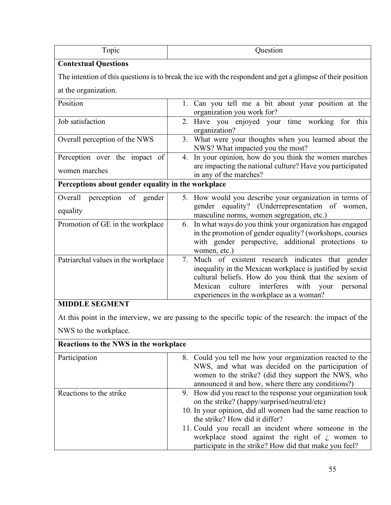| Topic                                                        | Question                                                                                                                                                                                                                                                                        |  |
|--------------------------------------------------------------|---------------------------------------------------------------------------------------------------------------------------------------------------------------------------------------------------------------------------------------------------------------------------------|--|
| <b>Contextual Questions</b>                                  |                                                                                                                                                                                                                                                                                 |  |
|                                                              | The intention of this questions is to break the ice with the respondent and get a glimpse of their position                                                                                                                                                                     |  |
| at the organization.                                         |                                                                                                                                                                                                                                                                                 |  |
| Position                                                     | 1. Can you tell me a bit about your position at the<br>organization you work for?                                                                                                                                                                                               |  |
| Job satisfaction                                             | 2. Have you enjoyed your time working<br>for this<br>organization?                                                                                                                                                                                                              |  |
| Overall perception of the NWS                                | 3. What were your thoughts when you learned about the<br>NWS? What impacted you the most?                                                                                                                                                                                       |  |
| Perception over the impact of                                | 4. In your opinion, how do you think the women marches                                                                                                                                                                                                                          |  |
| women marches                                                | are impacting the national culture? Have you participated<br>in any of the marches?                                                                                                                                                                                             |  |
| Perceptions about gender equality in the workplace           |                                                                                                                                                                                                                                                                                 |  |
| Overall<br>perception of gender<br>equality                  | 5. How would you describe your organization in terms of<br>gender equality? (Underrepresentation of women,<br>masculine norms, women segregation, etc.)                                                                                                                         |  |
| Promotion of GE in the workplace                             | In what ways do you think your organization has engaged<br>6.<br>in the promotion of gender equality? (workshops, courses<br>with gender perspective, additional protections to<br>women, etc.)                                                                                 |  |
| Patriarchal values in the workplace<br><b>MIDDLE SEGMENT</b> | 7. Much of existent research indicates that gender<br>inequality in the Mexican workplace is justified by sexist<br>cultural beliefs. How do you think that the sexism of<br>culture<br>interferes with your<br>Mexican<br>personal<br>experiences in the workplace as a woman? |  |

At this point in the interview, we are passing to the specific topic of the research: the impact of the NWS to the workplace.

| Reactions to the NWS in the workplace |                                                                                                                                                                                                                                                                                                                                                                                            |  |
|---------------------------------------|--------------------------------------------------------------------------------------------------------------------------------------------------------------------------------------------------------------------------------------------------------------------------------------------------------------------------------------------------------------------------------------------|--|
| Participation                         | 8. Could you tell me how your organization reacted to the<br>NWS, and what was decided on the participation of<br>women to the strike? (did they support the NWS, who<br>announced it and how, where there any conditions?)                                                                                                                                                                |  |
| Reactions to the strike               | 9. How did you react to the response your organization took<br>on the strike? (happy/surprised/neutral/etc)<br>10. In your opinion, did all women had the same reaction to<br>the strike? How did it differ?<br>11. Could you recall an incident where someone in the<br>workplace stood against the right of $\lambda$ women to<br>participate in the strike? How did that make you feel? |  |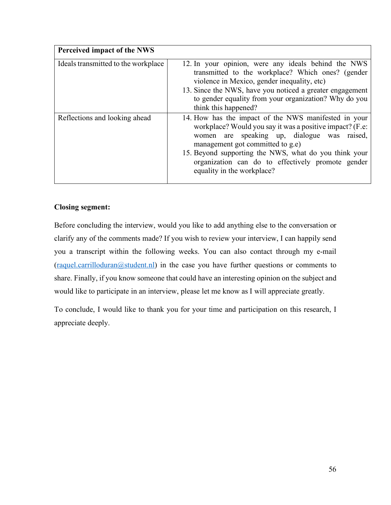| Perceived impact of the NWS         |                                                                                                                                                                                                                                                                                                                                                 |
|-------------------------------------|-------------------------------------------------------------------------------------------------------------------------------------------------------------------------------------------------------------------------------------------------------------------------------------------------------------------------------------------------|
| Ideals transmitted to the workplace | 12. In your opinion, were any ideals behind the NWS<br>transmitted to the workplace? Which ones? (gender<br>violence in Mexico, gender inequality, etc)<br>13. Since the NWS, have you noticed a greater engagement<br>to gender equality from your organization? Why do you<br>think this happened?                                            |
| Reflections and looking ahead       | 14. How has the impact of the NWS manifested in your<br>workplace? Would you say it was a positive impact? (F.e.<br>women are speaking up, dialogue was raised,<br>management got committed to g.e)<br>15. Beyond supporting the NWS, what do you think your<br>organization can do to effectively promote gender<br>equality in the workplace? |

### **Closing segment:**

Before concluding the interview, would you like to add anything else to the conversation or clarify any of the comments made? If you wish to review your interview, I can happily send you a transcript within the following weeks. You can also contact through my e-mail [\(raquel.carrilloduran@student.nl\)](mailto:raquel.carrilloduran@student.nl) in the case you have further questions or comments to share. Finally, if you know someone that could have an interesting opinion on the subject and would like to participate in an interview, please let me know as I will appreciate greatly.

To conclude, I would like to thank you for your time and participation on this research, I appreciate deeply.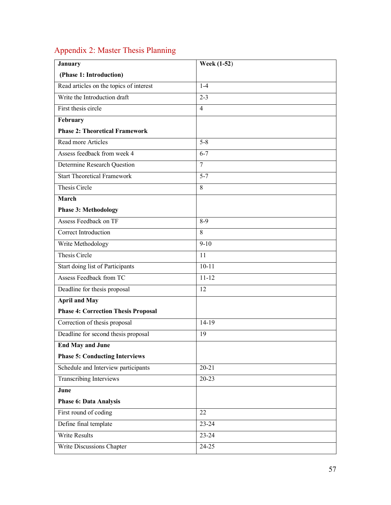# <span id="page-60-0"></span>Appendix 2: Master Thesis Planning

| <b>January</b>                             | <b>Week (1-52)</b> |
|--------------------------------------------|--------------------|
| (Phase 1: Introduction)                    |                    |
| Read articles on the topics of interest    | $1 - 4$            |
| Write the Introduction draft               | $2 - 3$            |
| First thesis circle                        | $\overline{4}$     |
| February                                   |                    |
| <b>Phase 2: Theoretical Framework</b>      |                    |
| Read more Articles                         | $5 - 8$            |
| Assess feedback from week 4                | $6 - 7$            |
| Determine Research Question                | $\overline{7}$     |
| <b>Start Theoretical Framework</b>         | $5 - 7$            |
| Thesis Circle                              | 8                  |
| March                                      |                    |
| <b>Phase 3: Methodology</b>                |                    |
| Assess Feedback on TF                      | $8-9$              |
| Correct Introduction                       | 8                  |
| Write Methodology                          | $9 - 10$           |
| Thesis Circle                              | 11                 |
| Start doing list of Participants           | $10 - 11$          |
| Assess Feedback from TC                    | $11 - 12$          |
| Deadline for thesis proposal               | 12                 |
| <b>April and May</b>                       |                    |
| <b>Phase 4: Correction Thesis Proposal</b> |                    |
| Correction of thesis proposal              | 14-19              |
| Deadline for second thesis proposal        | 19                 |
| <b>End May and June</b>                    |                    |
| <b>Phase 5: Conducting Interviews</b>      |                    |
| Schedule and Interview participants        | $20 - 21$          |
| Transcribing Interviews                    | $20 - 23$          |
| June                                       |                    |
| <b>Phase 6: Data Analysis</b>              |                    |
| First round of coding                      | 22                 |
| Define final template                      | $23 - 24$          |
| <b>Write Results</b>                       | $23 - 24$          |
| Write Discussions Chapter                  | $24-25$            |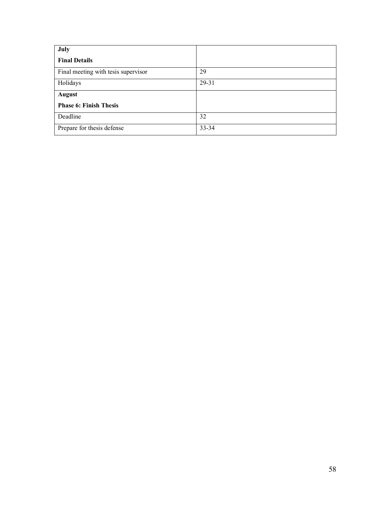| July                                |       |
|-------------------------------------|-------|
| <b>Final Details</b>                |       |
| Final meeting with tesis supervisor | 29    |
| Holidays                            | 29-31 |
| <b>August</b>                       |       |
| <b>Phase 6: Finish Thesis</b>       |       |
| Deadline                            | 32    |
| Prepare for thesis defense          | 33-34 |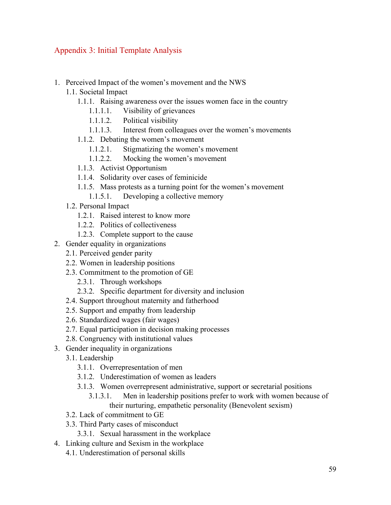## <span id="page-62-0"></span>Appendix 3: Initial Template Analysis

- 1. Perceived Impact of the women's movement and the NWS
	- 1.1. Societal Impact
		- 1.1.1. Raising awareness over the issues women face in the country
			- 1.1.1.1. Visibility of grievances
			- 1.1.1.2. Political visibility
			- 1.1.1.3. Interest from colleagues over the women's movements
		- 1.1.2. Debating the women's movement
			- 1.1.2.1. Stigmatizing the women's movement
			- 1.1.2.2. Mocking the women's movement
		- 1.1.3. Activist Opportunism
		- 1.1.4. Solidarity over cases of feminicide
		- 1.1.5. Mass protests as a turning point for the women's movement
			- 1.1.5.1. Developing a collective memory
	- 1.2. Personal Impact
		- 1.2.1. Raised interest to know more
		- 1.2.2. Politics of collectiveness
		- 1.2.3. Complete support to the cause
- 2. Gender equality in organizations
	- 2.1. Perceived gender parity
	- 2.2. Women in leadership positions
	- 2.3. Commitment to the promotion of GE
		- 2.3.1. Through workshops
		- 2.3.2. Specific department for diversity and inclusion
	- 2.4. Support throughout maternity and fatherhood
	- 2.5. Support and empathy from leadership
	- 2.6. Standardized wages (fair wages)
	- 2.7. Equal participation in decision making processes
	- 2.8. Congruency with institutional values
- 3. Gender inequality in organizations
	- 3.1. Leadership
		- 3.1.1. Overrepresentation of men
		- 3.1.2. Underestimation of women as leaders
		- 3.1.3. Women overrepresent administrative, support or secretarial positions
			- 3.1.3.1. Men in leadership positions prefer to work with women because of their nurturing, empathetic personality (Benevolent sexism)
	- 3.2. Lack of commitment to GE
	- 3.3. Third Party cases of misconduct
		- 3.3.1. Sexual harassment in the workplace
- 4. Linking culture and Sexism in the workplace
	- 4.1. Underestimation of personal skills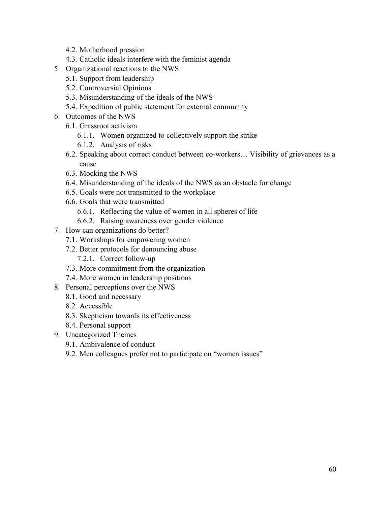- 4.2. Motherhood pression
- 4.3. Catholic ideals interfere with the feminist agenda
- 5. Organizational reactions to the NWS
	- 5.1. Support from leadership
	- 5.2. Controversial Opinions
	- 5.3. Misunderstanding of the ideals of the NWS
	- 5.4. Expedition of public statement for external community
- 6. Outcomes of the NWS
	- 6.1. Grassroot activism
		- 6.1.1. Women organized to collectively support the strike
		- 6.1.2. Analysis of risks
	- 6.2. Speaking about correct conduct between co-workers… Visibility of grievances as a cause
	- 6.3. Mocking the NWS
	- 6.4. Misunderstanding of the ideals of the NWS as an obstacle for change
	- 6.5. Goals were not transmitted to the workplace
	- 6.6. Goals that were transmitted
		- 6.6.1. Reflecting the value of women in all spheres of life
		- 6.6.2. Raising awareness over gender violence
- 7. How can organizations do better?
	- 7.1. Workshops for empowering women
	- 7.2. Better protocols for denouncing abuse
		- 7.2.1. Correct follow-up
	- 7.3. More commitment from the organization
	- 7.4. More women in leadership positions
- 8. Personal perceptions over the NWS
	- 8.1. Good and necessary
	- 8.2. Accessible
	- 8.3. Skepticism towards its effectiveness
	- 8.4. Personal support
- 9. Uncategorized Themes
	- 9.1. Ambivalence of conduct
	- 9.2. Men colleagues prefer not to participate on "women issues"